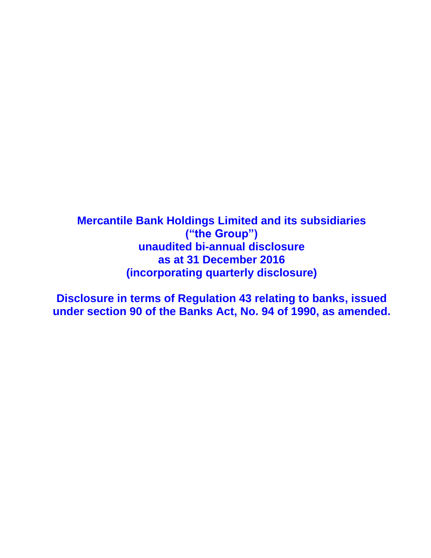**Mercantile Bank Holdings Limited and its subsidiaries ("the Group") unaudited bi-annual disclosure as at 31 December 2016 (incorporating quarterly disclosure)**

**Disclosure in terms of Regulation 43 relating to banks, issued under section 90 of the Banks Act, No. 94 of 1990, as amended.**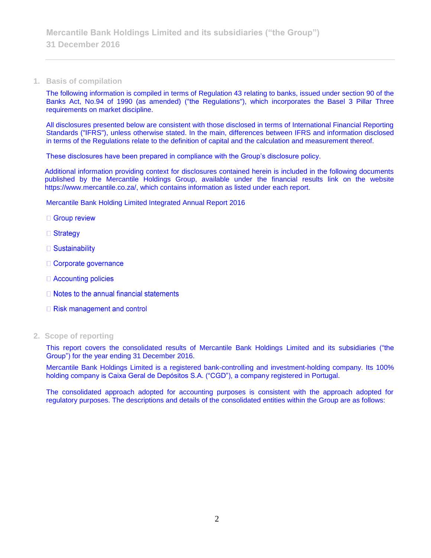#### **1. Basis of compilation**

The following information is compiled in terms of Regulation 43 relating to banks, issued under section 90 of the Banks Act, No.94 of 1990 (as amended) ("the Regulations"), which incorporates the Basel 3 Pillar Three requirements on market discipline.

All disclosures presented below are consistent with those disclosed in terms of International Financial Reporting Standards ("IFRS"), unless otherwise stated. In the main, differences between IFRS and information disclosed in terms of the Regulations relate to the definition of capital and the calculation and measurement thereof.

These disclosures have been prepared in compliance with the Group's disclosure policy.

Additional information providing context for disclosures contained herein is included in the following documents published by the Mercantile Holdings Group, available under the financial results link on the website https://www.mercantile.co.za/, which contains information as listed under each report.

Mercantile Bank Holding Limited Integrated Annual Report 2016

- □ Group review
- □ Strategy
- $\Box$  Sustainability
- □ Corporate governance
- □ Accounting policies
- $\Box$  Notes to the annual financial statements
- $\Box$  Risk management and control
- **2. Scope of reporting**

This report covers the consolidated results of Mercantile Bank Holdings Limited and its subsidiaries ("the Group") for the year ending 31 December 2016.

Mercantile Bank Holdings Limited is a registered bank-controlling and investment-holding company. Its 100% holding company is Caixa Geral de Depósitos S.A. ("CGD"), a company registered in Portugal.

The consolidated approach adopted for accounting purposes is consistent with the approach adopted for regulatory purposes. The descriptions and details of the consolidated entities within the Group are as follows: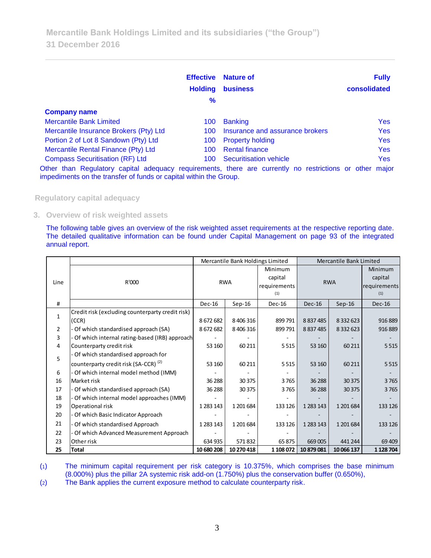|                                                                                                                                                                              | <b>Effective</b><br><b>Holding</b><br>$\frac{9}{6}$ | <b>Nature of</b><br><b>business</b> | <b>Fully</b><br>consolidated |
|------------------------------------------------------------------------------------------------------------------------------------------------------------------------------|-----------------------------------------------------|-------------------------------------|------------------------------|
| <b>Company name</b>                                                                                                                                                          |                                                     |                                     |                              |
| <b>Mercantile Bank Limited</b>                                                                                                                                               | 100                                                 | <b>Banking</b>                      | <b>Yes</b>                   |
| Mercantile Insurance Brokers (Pty) Ltd                                                                                                                                       | 100.                                                | Insurance and assurance brokers     | <b>Yes</b>                   |
| Portion 2 of Lot 8 Sandown (Pty) Ltd                                                                                                                                         | 100                                                 | <b>Property holding</b>             | <b>Yes</b>                   |
| Mercantile Rental Finance (Pty) Ltd                                                                                                                                          | 100.                                                | <b>Rental finance</b>               | <b>Yes</b>                   |
| <b>Compass Securitisation (RF) Ltd</b>                                                                                                                                       | 100                                                 | <b>Securitisation vehicle</b>       | <b>Yes</b>                   |
| Other than Regulatory capital adequacy requirements, there are currently no restrictions or other major<br>impediments on the transfer of funds or capital within the Group. |                                                     |                                     |                              |

**Regulatory capital adequacy**

**3. Overview of risk weighted assets**

The following table gives an overview of the risk weighted asset requirements at the respective reporting date. The detailed qualitative information can be found under Capital Management on page 93 of the integrated annual report.

|                |                                                  |               | Mercantile Bank Holdings Limited |              | Mercantile Bank Limited |               |              |
|----------------|--------------------------------------------------|---------------|----------------------------------|--------------|-------------------------|---------------|--------------|
|                |                                                  |               |                                  | Minimum      |                         |               | Minimum      |
|                |                                                  |               |                                  | capital      |                         |               | capital      |
| Line           | R'000                                            |               | <b>RWA</b>                       | requirements |                         | <b>RWA</b>    | requirements |
|                |                                                  |               |                                  | (1)          |                         |               | (1)          |
| #              |                                                  | $Dec-16$      | $Sep-16$                         | $Dec-16$     | $Dec-16$                | $Sep-16$      | $Dec-16$     |
|                | Credit risk (excluding counterparty credit risk) |               |                                  |              |                         |               |              |
| $\mathbf{1}$   | (CCR)                                            | 8672682       | 8 40 6 31 6                      | 899791       | 8837485                 | 8 3 3 2 6 2 3 | 916 889      |
| $\overline{2}$ | Of which standardised approach (SA)              | 8672682       | 8 40 6 31 6                      | 899791       | 8 8 3 7 4 8 5           | 8 3 3 2 6 2 3 | 916 889      |
| 3              | Of which internal rating-based (IRB) approach    |               |                                  |              |                         |               |              |
| 4              | Counterparty credit risk                         | 53 160        | 60 211                           | 5515         | 53 160                  | 60 211        | 5 5 1 5      |
| 5              | Of which standardised approach for               |               |                                  |              |                         |               |              |
|                | counterparty credit risk (SA-CCR) <sup>(2)</sup> | 53 160        | 60 211                           | 5 5 1 5      | 53 160                  | 60 211        | 5 5 1 5      |
| 6              | Of which internal model method (IMM)             |               |                                  |              |                         |               |              |
| 16             | Market risk                                      | 36 288        | 30375                            | 3765         | 36 288                  | 30 375        | 3765         |
| 17             | Of which standardised approach (SA)              | 36 288        | 30375                            | 3765         | 36 288                  | 30 375        | 3765         |
| 18             | Of which internal model approaches (IMM)         |               |                                  |              |                         |               |              |
| 19             | Operational risk                                 | 1 2 8 1 1 4 3 | 1 201 684                        | 133 126      | 1 2 8 3 1 4 3           | 1 201 684     | 133 126      |
| 20             | Of which Basic Indicator Approach                |               |                                  |              |                         |               |              |
| 21             | Of which standardised Approach                   | 1 2 8 1 1 4 3 | 1 201 684                        | 133 126      | 1 2 8 3 1 4 3           | 1 201 684     | 133 126      |
| 22             | Of which Advanced Measurement Approach           |               |                                  |              |                         |               |              |
| 23             | Other risk                                       | 634 935       | 571832                           | 65875        | 669 005                 | 441 244       | 69 409       |
| 25             | Total                                            | 10 680 208    | 10 270 418                       | 1 108 072    | 10 879 081              | 10 066 137    | 1 1 28 7 04  |

(1) The minimum capital requirement per risk category is 10.375%, which comprises the base minimum (8.000%) plus the pillar 2A systemic risk add-on (1.750%) plus the conservation buffer (0.650%),

(2) The Bank applies the current exposure method to calculate counterparty risk.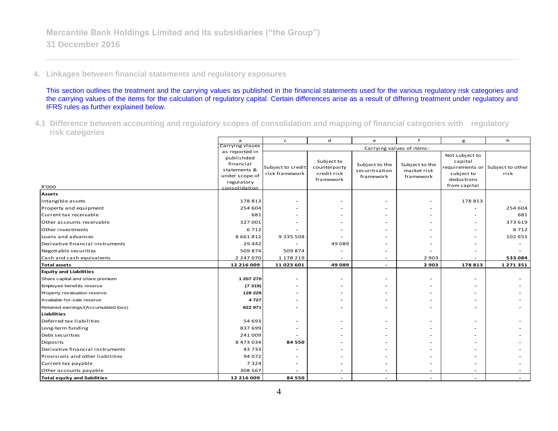# **4. Linkages between financial statements and regulatory exposures**

This section outlines the treatment and the carrying values as published in the financial statements used for the various regulatory risk categories and the carrying values of the items for the calculation of regulatory capital. Certain differences arise as a result of differing treatment under regulatory and IFRS rules as further explained below.

**<sup>4.1</sup> Difference between accounting and regulatory scopes of consolidation and mapping of financial categories with regulatory risk categories**

|                                      | $\mathbf{a}$                                              | ${\mathsf d}$<br>$\mathsf{C}$<br>e<br>g |                            |                                  | h                             |                                          |                                  |
|--------------------------------------|-----------------------------------------------------------|-----------------------------------------|----------------------------|----------------------------------|-------------------------------|------------------------------------------|----------------------------------|
|                                      | Carrying vlaues                                           |                                         |                            | Carrying values of items:        |                               |                                          |                                  |
|                                      | as reported in<br>publishded<br>financial<br>statements & | Subject to credit                       | Subject to<br>counterparty | Subject to the<br>securitisation | Subject to the<br>market risk | Not subject to<br>capital                | requirements or Subject to other |
| R'000                                | under scope of<br>regulatory<br>consolidation             | risk framework                          | credit risk<br>framework   | framework                        | framework                     | subject to<br>deductions<br>from capital | risk                             |
| <b>Assets</b>                        |                                                           |                                         |                            |                                  |                               |                                          |                                  |
| Intangible assets                    | 178 813                                                   |                                         |                            |                                  |                               | 178 813                                  |                                  |
| Property and equipment               | 254 604                                                   |                                         |                            |                                  |                               |                                          | 254 604                          |
| Current tax receivable               | 681                                                       |                                         |                            |                                  |                               |                                          | 681                              |
| Other accounts receivable            | 327 001                                                   |                                         |                            |                                  |                               |                                          | 373 619                          |
| Other investments                    | 6712                                                      |                                         |                            |                                  |                               |                                          | 6712                             |
| Loans and advances                   | 8 6 6 1 8 1 2                                             | 9 3 3 5 5 0 8                           |                            |                                  |                               |                                          | 102 651                          |
| Derivative financial instruments     | 29 4 4 2                                                  |                                         | 49089                      |                                  |                               |                                          |                                  |
| Negotiable securities                | 509 874                                                   | 509874                                  |                            |                                  |                               |                                          |                                  |
| Cash and cash equivalents            | 2 247 070                                                 | 1 178 219                               |                            |                                  | 2 9 0 3                       |                                          | 533 084                          |
| <b>Total assets</b>                  | 12 216 009                                                | 11 023 601                              | 49089                      |                                  | 2 9 0 3                       | 178 813                                  | 1 271 351                        |
| <b>Equity and Liabilities</b>        |                                                           |                                         |                            |                                  |                               |                                          |                                  |
| Share capital and share premium      | 1 207 270                                                 |                                         |                            |                                  |                               |                                          |                                  |
| Employee benefits reserve            | (7319)                                                    |                                         |                            |                                  |                               |                                          |                                  |
| Property revaluation reserve         | 128 229                                                   |                                         |                            |                                  |                               |                                          |                                  |
| Available-for-sale reserve           | 4727                                                      |                                         |                            |                                  |                               |                                          |                                  |
| Retained earnings/(Accumulated loss) | 822 971                                                   |                                         |                            |                                  |                               |                                          |                                  |
| <b>Liabilities</b>                   |                                                           |                                         |                            |                                  |                               |                                          |                                  |
| Deferred tax liabilities             | 54 693                                                    |                                         |                            |                                  |                               |                                          |                                  |
| Long-term funding                    | 837 699                                                   |                                         |                            |                                  |                               |                                          |                                  |
| Debt securities                      | 241 009                                                   |                                         |                            |                                  |                               |                                          |                                  |
| Deposits                             | 8 473 034                                                 | 84 550                                  |                            |                                  |                               |                                          |                                  |
| Derivative financial instruments     | 43733                                                     |                                         |                            |                                  |                               |                                          |                                  |
| Provisions and other liabilities     | 94 072                                                    |                                         |                            |                                  |                               |                                          |                                  |
| Current tax payable                  | 7324                                                      |                                         |                            |                                  |                               |                                          |                                  |
| Other accounts payable               | 308 567                                                   |                                         |                            |                                  |                               |                                          |                                  |
| <b>Total equity and liabilities</b>  | 12 216 009                                                | 84 550                                  | $\overline{\phantom{a}}$   |                                  |                               |                                          |                                  |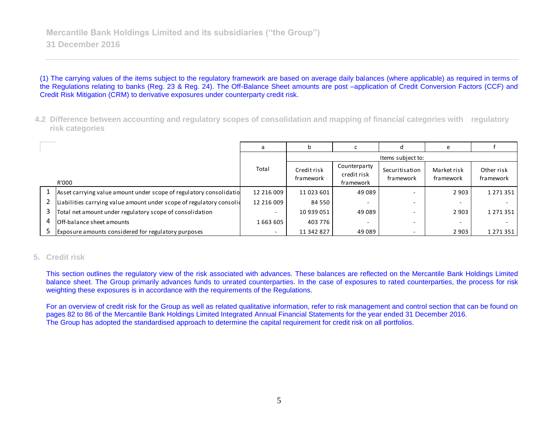(1) The carrying values of the items subject to the regulatory framework are based on average daily balances (where applicable) as required in terms of the Regulations relating to banks (Reg. 23 & Reg. 24). The Off-Balance Sheet amounts are post –application of Credit Conversion Factors (CCF) and Credit Risk Mitigation (CRM) to derivative exposures under counterparty credit risk.

**4.2 Difference between accounting and regulatory scopes of consolidation and mapping of financial categories with regulatory risk categories**

|   |                                                                        |            |                          |                                          |                             | e                        |                         |
|---|------------------------------------------------------------------------|------------|--------------------------|------------------------------------------|-----------------------------|--------------------------|-------------------------|
|   | Items subject to:                                                      |            |                          |                                          |                             |                          |                         |
|   | R'000                                                                  | Total      | Credit risk<br>framework | Counterparty<br>credit risk<br>framework | Securitisation<br>framework | Market risk<br>framework | Other risk<br>framework |
|   | 1 Asset carrying value amount under scope of regulatory consolidatio   | 12 216 009 | 11 023 601               | 49 089                                   |                             | 2 9 0 3                  | 1 2 7 1 3 5 1           |
|   | 2 Liabilities carrying value amount under scope of regulatory consolid | 12 216 009 | 84 550                   |                                          | -                           |                          |                         |
|   | Total net amount under regulatory scope of consolidation               |            | 10 939 051               | 49 089                                   |                             | 2 9 0 3                  | 1 2 7 1 3 5 1           |
| 4 | <b>Off-balance sheet amounts</b>                                       | 1663605    | 403 776                  |                                          |                             |                          |                         |
|   | 5 Exposure amounts considered for regulatory purposes                  |            | 11 342 827               | 49 089                                   |                             | 2 9 0 3                  | 1 2 7 1 3 5 1           |

## **5. Credit risk**

This section outlines the regulatory view of the risk associated with advances. These balances are reflected on the Mercantile Bank Holdings Limited balance sheet. The Group primarily advances funds to unrated counterparties. In the case of exposures to rated counterparties, the process for risk weighting these exposures is in accordance with the requirements of the Regulations.

For an overview of credit risk for the Group as well as related qualitative information, refer to risk management and control section that can be found on pages 82 to 86 of the Mercantile Bank Holdings Limited Integrated Annual Financial Statements for the year ended 31 December 2016. The Group has adopted the standardised approach to determine the capital requirement for credit risk on all portfolios.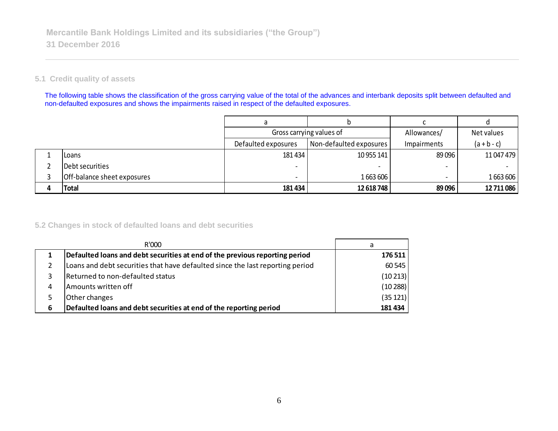## **5.1 Credit quality of assets**

The following table shows the classification of the gross carrying value of the total of the advances and interbank deposits split between defaulted and non-defaulted exposures and shows the impairments raised in respect of the defaulted exposures.

|                             | Gross carrying values of |                         | Allowances/              | Net values    |
|-----------------------------|--------------------------|-------------------------|--------------------------|---------------|
|                             | Defaulted exposures      | Non-defaulted exposures | Impairments              | $(a + b - c)$ |
| Loans                       | 181 434                  | 10 955 141              | 89096                    | 11 047 479    |
| Debt securities             |                          |                         | $\overline{\phantom{0}}$ |               |
| Off-balance sheet exposures |                          | 1663606                 |                          | 1663606       |
| Total                       | 181 434                  | 12 618 748              | 89 096                   | 12 711 086    |

## **5.2 Changes in stock of defaulted loans and debt securities**

|   | R'000                                                                         | a        |
|---|-------------------------------------------------------------------------------|----------|
|   | Defaulted loans and debt securities at end of the previous reporting period   | 176 511  |
|   | Loans and debt securities that have defaulted since the last reporting period | 60 545   |
| 3 | Returned to non-defaulted status                                              | (10213)  |
| 4 | Amounts written off                                                           | (10288)  |
| 5 | Other changes                                                                 | (35 121) |
| 6 | Defaulted loans and debt securities at end of the reporting period            | 181 434  |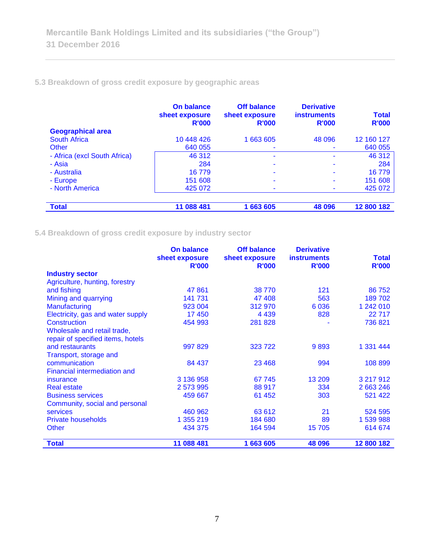# **5.3 Breakdown of gross credit exposure by geographic areas**

|                              | On balance<br>sheet exposure<br><b>R'000</b> | <b>Off balance</b><br>sheet exposure<br><b>R'000</b> | <b>Derivative</b><br><b>instruments</b><br><b>R'000</b> | <b>Total</b><br><b>R'000</b> |
|------------------------------|----------------------------------------------|------------------------------------------------------|---------------------------------------------------------|------------------------------|
| <b>Geographical area</b>     |                                              |                                                      |                                                         |                              |
| <b>South Africa</b>          | 10 448 426                                   | 1 663 605                                            | 48 096                                                  | 12 160 127                   |
| Other                        | 640 055                                      |                                                      |                                                         | 640 055                      |
| - Africa (excl South Africa) | 46 312                                       | ۰                                                    | ۰                                                       | 46 312                       |
| - Asia                       | 284                                          |                                                      |                                                         | 284                          |
| - Australia                  | 16 779                                       | ۰                                                    | ۰                                                       | 16779                        |
| - Europe                     | 151 608                                      |                                                      |                                                         | 151 608                      |
| - North America              | 425 072                                      |                                                      |                                                         | 425 072                      |
|                              |                                              |                                                      |                                                         |                              |
| <b>Total</b>                 | 11 088 481                                   | 1 663 605                                            | 48 096                                                  | 12 800 182                   |

**5.4 Breakdown of gross credit exposure by industry sector**

|                                   | <b>On balance</b><br>sheet exposure | <b>Off balance</b><br>sheet exposure | <b>Derivative</b><br><b>instruments</b> | <b>Total</b> |
|-----------------------------------|-------------------------------------|--------------------------------------|-----------------------------------------|--------------|
|                                   | <b>R'000</b>                        | <b>R'000</b>                         | <b>R'000</b>                            | <b>R'000</b> |
| <b>Industry sector</b>            |                                     |                                      |                                         |              |
| Agriculture, hunting, forestry    |                                     |                                      |                                         |              |
| and fishing                       | 47861                               | 38 770                               | 121                                     | 86 752       |
| Mining and quarrying              | 141 731                             | 47 408                               | 563                                     | 189 702      |
| Manufacturing                     | 923 004                             | 312 970                              | 6036                                    | 1 242 010    |
| Electricity, gas and water supply | 17 450                              | 4 4 3 9                              | 828                                     | 22 7 1 7     |
| Construction                      | 454 993                             | 281 828                              |                                         | 736 821      |
| Wholesale and retail trade,       |                                     |                                      |                                         |              |
| repair of specified items, hotels |                                     |                                      |                                         |              |
| and restaurants                   | 997 829                             | 323 722                              | 9893                                    | 1 331 444    |
| Transport, storage and            |                                     |                                      |                                         |              |
| communication                     | 84 437                              | 23 4 68                              | 994                                     | 108 899      |
| Financial intermediation and      |                                     |                                      |                                         |              |
| insurance                         | 3 136 958                           | 67 745                               | 13 209                                  | 3 217 912    |
| <b>Real estate</b>                | 2 573 995                           | 88 917                               | 334                                     | 2 663 246    |
| <b>Business services</b>          | 459 667                             | 61 452                               | 303                                     | 521 422      |
| Community, social and personal    |                                     |                                      |                                         |              |
| <b>services</b>                   | 460 962                             | 63 612                               | 21                                      | 524 595      |
| <b>Private households</b>         | 1 355 219                           | 184 680                              | 89                                      | 1 539 988    |
| <b>Other</b>                      | 434 375                             | 164 594                              | 15 705                                  | 614 674      |
| <b>Total</b>                      | 11 088 481                          | 1 663 605                            | 48 096                                  | 12 800 182   |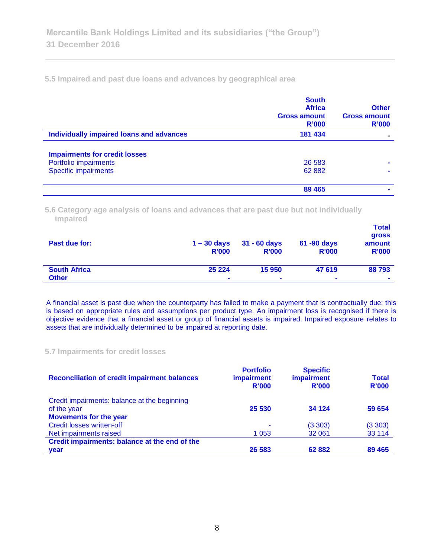**5.5 Impaired and past due loans and advances by geographical area**

|                                          | <b>South</b><br><b>Africa</b><br><b>Gross amount</b><br>R'000 | <b>Other</b><br><b>Gross amount</b><br>R'000 |
|------------------------------------------|---------------------------------------------------------------|----------------------------------------------|
| Individually impaired loans and advances | 181 434                                                       |                                              |
| <b>Impairments for credit losses</b>     |                                                               |                                              |
| Portfolio impairments                    | 26 5 83                                                       | $\blacksquare$                               |
| <b>Specific impairments</b>              | 62 882                                                        |                                              |
|                                          | 89 4 65                                                       | $\blacksquare$                               |

**5.6 Category age analysis of loans and advances that are past due but not individually impaired** 

| Past due for:       | $1 - 30$ days<br><b>R'000</b> | $31 - 60$ days<br><b>R'000</b> | 61 -90 days<br><b>R'000</b> | <b>Total</b><br>gross<br>amount<br><b>R'000</b> |
|---------------------|-------------------------------|--------------------------------|-----------------------------|-------------------------------------------------|
| <b>South Africa</b> | 25 2 24                       | 15950                          | 47 619                      | 88793                                           |
| <b>Other</b>        | $\blacksquare$                | $\blacksquare$                 | $\blacksquare$              | $\blacksquare$                                  |

A financial asset is past due when the counterparty has failed to make a payment that is contractually due; this is based on appropriate rules and assumptions per product type. An impairment loss is recognised if there is objective evidence that a financial asset or group of financial assets is impaired. Impaired exposure relates to assets that are individually determined to be impaired at reporting date.

#### **5.7 Impairments for credit losses**

| <b>Reconciliation of credit impairment balances</b> | <b>Portfolio</b><br><b>impairment</b><br>R'000 | <b>Specific</b><br>impairment<br>R'000 | <b>Total</b><br>R'000 |
|-----------------------------------------------------|------------------------------------------------|----------------------------------------|-----------------------|
| Credit impairments: balance at the beginning        |                                                |                                        |                       |
| of the year                                         | 25 530                                         | 34 1 24                                | 59 654                |
| <b>Movements for the year</b>                       |                                                |                                        |                       |
| <b>Credit losses written-off</b>                    |                                                | (3303)                                 | (3303)                |
| Net impairments raised                              | 1 0 5 3                                        | 32 061                                 | 33 114                |
| Credit impairments: balance at the end of the       |                                                |                                        |                       |
| <b>vear</b>                                         | 26 583                                         | 62882                                  | 89 4 65               |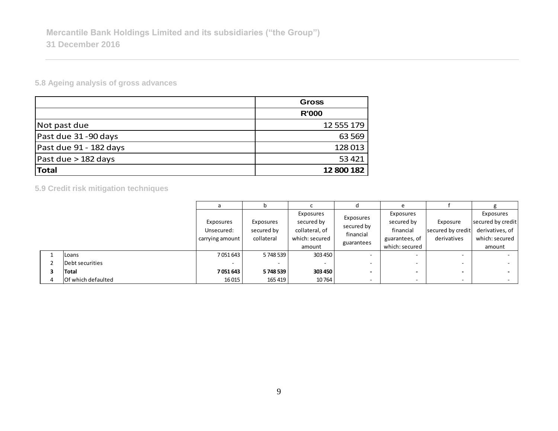**5.8 Ageing analysis of gross advances**

|                        | <b>Gross</b> |
|------------------------|--------------|
|                        | <b>R'000</b> |
| Not past due           | 12 555 179   |
| Past due 31-90 days    | 63 5 69      |
| Past due 91 - 182 days | 128013       |
| Past due $>$ 182 days  | 53 4 21      |
| Total                  | 12 800 182   |

**5.9 Credit risk mitigation techniques**

|                           |                 |            |                |            | e              |                          |                   |
|---------------------------|-----------------|------------|----------------|------------|----------------|--------------------------|-------------------|
|                           |                 |            | Exposures      | Exposures  | Exposures      |                          | Exposures         |
|                           | Exposures       | Exposures  | secured by     | secured by | secured by     | Exposure                 | secured by credit |
|                           | Unsecured:      | secured by | collateral, of | financial  | financial      | secured by credit        | derivatives, of   |
|                           | carrying amount | collateral | which: secured | guarantees | guarantees, of | derivatives              | which: secured    |
|                           |                 |            | amount         |            | which: secured |                          | amount            |
| <b>Loans</b>              | 7051643         | 5748539    | 303 450        |            | ۰.             | $\overline{\phantom{a}}$ | $\sim$            |
| Debt securities           | -               |            | -              |            |                |                          |                   |
| Total                     | 7051643         | 5748539    | 303 450        |            |                |                          |                   |
| <b>Of which defaulted</b> | 16015           | 165 419    | 10764          |            |                |                          | $\sim$            |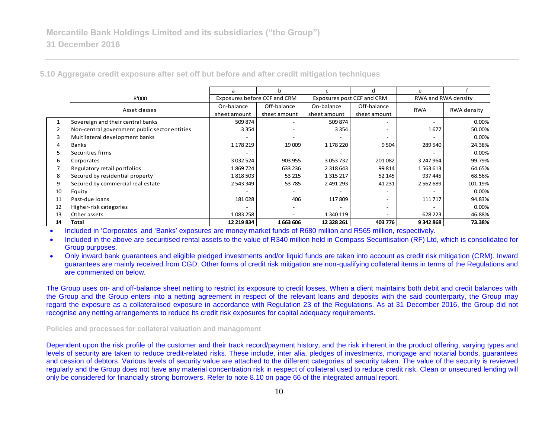|    |                                               | a                            | h            |                            |                          | e                   |             |
|----|-----------------------------------------------|------------------------------|--------------|----------------------------|--------------------------|---------------------|-------------|
|    | R'000                                         | Exposures before CCF and CRM |              | Exposures post CCF and CRM |                          | RWA and RWA density |             |
|    | Asset classes                                 | On-balance                   | Off-balance  | On-balance                 | Off-balance              | <b>RWA</b>          | RWA density |
|    |                                               | sheet amount                 | sheet amount | sheet amount               | sheet amount             |                     |             |
|    | Sovereign and their central banks             | 509 874                      |              | 509 874                    |                          |                     | 0.00%       |
| 2  | Non-central government public sector entities | 3 3 5 4                      |              | 3 3 5 4                    |                          | 1677                | 50.00%      |
| 3  | Multilateral development banks                |                              |              |                            |                          |                     | 0.00%       |
| 4  | Banks                                         | 1 178 219                    | 19 009       | 1 178 220                  | 9 5 0 4                  | 289 540             | 24.38%      |
| 5  | Securities firms                              |                              |              |                            |                          |                     | 0.00%       |
| 6  | Corporates                                    | 3 0 3 2 5 2 4                | 903 955      | 3 0 5 3 7 3 2              | 201082                   | 3 247 964           | 99.79%      |
|    | Regulatory retail portfolios                  | 1869724                      | 633 236      | 2 3 18 6 43                | 99 814                   | 1563613             | 64.65%      |
| 8  | Secured by residential property               | 1818503                      | 53 215       | 1 3 1 5 2 1 7              | 52 145                   | 937 445             | 68.56%      |
| 9  | Secured by commercial real estate             | 2 543 349                    | 53785        | 2 491 293                  | 41 2 31                  | 2 5 6 2 6 8 9       | 101.19%     |
| 10 | Equity                                        |                              |              |                            |                          |                     | 0.00%       |
| 11 | Past-due loans                                | 181028                       | 406          | 117809                     |                          | 111 717             | 94.83%      |
| 12 | Higher-risk categories                        |                              |              |                            | $\overline{\phantom{a}}$ |                     | 0.00%       |
| 13 | Other assets                                  | 1083258                      |              | 1 340 119                  | $\overline{\phantom{a}}$ | 628 223             | 46.88%      |
| 14 | Total                                         | 12 219 834                   | 1663606      | 12 328 261                 | 403 776                  | 9342868             | 73.38%      |

**5.10 Aggregate credit exposure after set off but before and after credit mitigation techniques**

Included in 'Corporates' and 'Banks' exposures are money market funds of R680 million and R565 million, respectively.

 Included in the above are securitised rental assets to the value of R340 million held in Compass Securitisation (RF) Ltd, which is consolidated for Group purposes.

 Only inward bank guarantees and eligible pledged investments and/or liquid funds are taken into account as credit risk mitigation (CRM). Inward guarantees are mainly received from CGD. Other forms of credit risk mitigation are non-qualifying collateral items in terms of the Regulations and are commented on below.

The Group uses on- and off-balance sheet netting to restrict its exposure to credit losses. When a client maintains both debit and credit balances with the Group and the Group enters into a netting agreement in respect of the relevant loans and deposits with the said counterparty, the Group may regard the exposure as a collateralised exposure in accordance with Regulation 23 of the Regulations. As at 31 December 2016, the Group did not recognise any netting arrangements to reduce its credit risk exposures for capital adequacy requirements.

**Policies and processes for collateral valuation and management**

Dependent upon the risk profile of the customer and their track record/payment history, and the risk inherent in the product offering, varying types and levels of security are taken to reduce credit-related risks. These include, inter alia, pledges of investments, mortgage and notarial bonds, guarantees and cession of debtors. Various levels of security value are attached to the different categories of security taken. The value of the security is reviewed regularly and the Group does not have any material concentration risk in respect of collateral used to reduce credit risk. Clean or unsecured lending will only be considered for financially strong borrowers. Refer to note 8.10 on page 66 of the integrated annual report.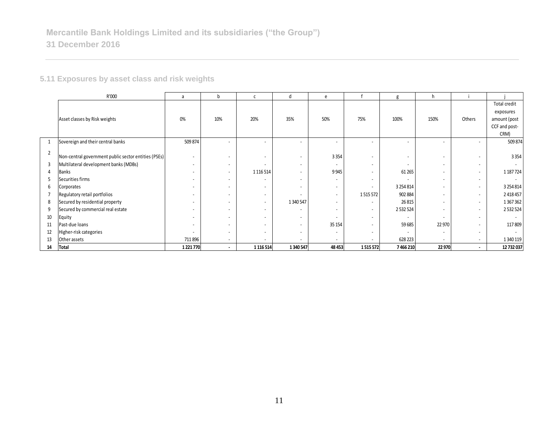# **5.11 Exposures by asset class and risk weights**

|                | R'000                                                | a         | b                        |                          | d                        | e                        |                          | g             | h                        |                          |                          |
|----------------|------------------------------------------------------|-----------|--------------------------|--------------------------|--------------------------|--------------------------|--------------------------|---------------|--------------------------|--------------------------|--------------------------|
|                |                                                      |           |                          |                          |                          |                          |                          |               |                          |                          | Total credit             |
|                |                                                      |           |                          |                          |                          |                          |                          |               |                          |                          | exposures                |
|                | Asset classes by Risk weights                        | 0%        | 10%                      | 20%                      | 35%                      | 50%                      | 75%                      | 100%          | 150%                     | Others                   | amount (post             |
|                |                                                      |           |                          |                          |                          |                          |                          |               |                          |                          | CCF and post-            |
|                |                                                      |           |                          |                          |                          |                          |                          |               |                          |                          | CRM)                     |
| $\mathbf{1}$   | Sovereign and their central banks                    | 509 874   |                          | $\sim$                   | $\overline{\phantom{a}}$ |                          |                          |               | $\overline{\phantom{0}}$ |                          | 509 874                  |
| $\overline{2}$ |                                                      |           |                          |                          |                          |                          |                          |               |                          |                          |                          |
|                | Non-central government public sector entities (PSEs) |           |                          | $\overline{\phantom{a}}$ | $\overline{\phantom{a}}$ | 3 3 5 4                  |                          |               |                          |                          | 3 3 5 4                  |
| 3              | Multilateral development banks (MDBs)                |           | $\overline{\phantom{a}}$ | $\overline{\phantom{a}}$ | $\overline{\phantom{a}}$ | $\overline{\phantom{a}}$ |                          |               |                          |                          | $\overline{\phantom{a}}$ |
| 4              | Banks                                                |           | $\overline{\phantom{a}}$ | 1 1 1 6 5 1 4            | $\overline{\phantom{a}}$ | 9945                     |                          | 61 265        | $\overline{\phantom{0}}$ | $\overline{\phantom{a}}$ | 1 187 7 24               |
| 5              | Securities firms                                     |           | $\overline{\phantom{a}}$ | $\overline{\phantom{a}}$ | $\overline{\phantom{a}}$ |                          |                          |               | $\overline{\phantom{a}}$ |                          |                          |
| 6              | Corporates                                           |           | $\sim$                   | $\overline{\phantom{a}}$ | $\overline{\phantom{a}}$ | $\overline{\phantom{a}}$ | $\overline{\phantom{a}}$ | 3 2 5 4 8 1 4 | $\overline{\phantom{a}}$ | $\overline{\phantom{0}}$ | 3 2 5 4 8 1 4            |
| $\overline{7}$ | Regulatory retail portfolios                         |           | $\overline{\phantom{a}}$ | $\overline{\phantom{a}}$ | $\overline{\phantom{a}}$ | $\overline{\phantom{a}}$ | 1515572                  | 902 884       | $\overline{\phantom{a}}$ |                          | 2 4 18 4 5 7             |
| 8              | Secured by residential property                      |           |                          | $\overline{\phantom{a}}$ | 1 340 547                | $\overline{\phantom{a}}$ |                          | 26 8 15       | $\overline{\phantom{a}}$ | $\sim$                   | 1367362                  |
| 9              | Secured by commercial real estate                    |           | $\overline{\phantom{a}}$ | $\overline{\phantom{a}}$ | $\overline{\phantom{a}}$ |                          | $\sim$                   | 2 5 3 2 5 2 4 | $\overline{a}$           |                          | 2 5 3 2 5 2 4            |
| 10             | Equity                                               |           |                          | $\overline{\phantom{a}}$ | $\overline{\phantom{a}}$ |                          | $\sim$                   |               | $\overline{\phantom{0}}$ | $\overline{\phantom{0}}$ |                          |
| 11             | Past-due loans                                       |           | $\overline{\phantom{a}}$ | $\overline{\phantom{a}}$ | $\overline{\phantom{a}}$ | 35 154                   | $\overline{\phantom{a}}$ | 59 685        | 22 970                   | $\overline{\phantom{a}}$ | 117809                   |
| 12             | Higher-risk categories                               |           |                          | $\overline{\phantom{a}}$ | $\overline{\phantom{a}}$ | $\overline{\phantom{a}}$ |                          |               |                          |                          |                          |
| 13             | Other assets                                         | 711896    | $\overline{\phantom{a}}$ | $\overline{\phantom{a}}$ | $\sim$                   |                          |                          | 628 223       | $\sim$                   | $\overline{\phantom{a}}$ | 1 340 119                |
| 14             | <b>Total</b>                                         | 1 221 770 | $\sim$                   | 1 1 1 5 1 4              | 1 340 547                | 48 453                   | 1515572                  | 7466210       | 22 970                   | $\sim$                   | 12 732 037               |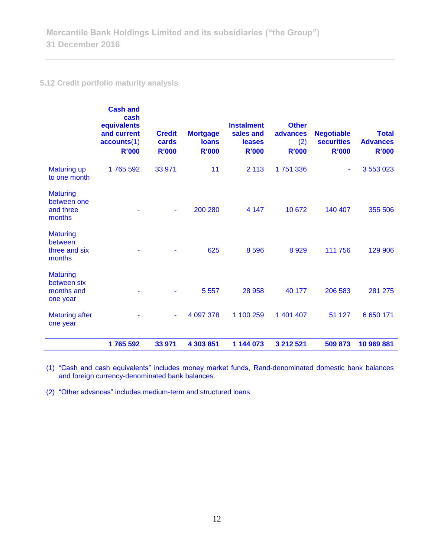# **5.12 Credit portfolio maturity analysis**

|                                                          | <b>Cash and</b><br>cash<br>equivalents<br>and current<br>accounts(1)<br><b>R'000</b> | <b>Credit</b><br>cards<br><b>R'000</b> | <b>Mortgage</b><br><b>loans</b><br><b>R'000</b> | <b>Instalment</b><br>sales and<br><b>leases</b><br><b>R'000</b> | <b>Other</b><br>advances<br>(2)<br>R'000 | <b>Negotiable</b><br><b>securities</b><br><b>R'000</b> | <b>Total</b><br><b>Advances</b><br><b>R'000</b> |
|----------------------------------------------------------|--------------------------------------------------------------------------------------|----------------------------------------|-------------------------------------------------|-----------------------------------------------------------------|------------------------------------------|--------------------------------------------------------|-------------------------------------------------|
| <b>Maturing up</b><br>to one month                       | 1765 592                                                                             | 33 971                                 | 11                                              | 2 1 1 3                                                         | 1751336                                  | ٠                                                      | 3 5 5 3 0 2 3                                   |
| <b>Maturing</b><br>between one<br>and three<br>months    |                                                                                      | ۰                                      | 200 280                                         | 4 1 4 7                                                         | 10 672                                   | 140 407                                                | 355 506                                         |
| <b>Maturing</b><br>between<br>three and six<br>months    |                                                                                      |                                        | 625                                             | 8 5 9 6                                                         | 8929                                     | 111 756                                                | 129 906                                         |
| <b>Maturing</b><br>between six<br>months and<br>one year |                                                                                      |                                        | 5 5 5 7                                         | 28 958                                                          | 40 177                                   | 206 583                                                | 281 275                                         |
| <b>Maturing after</b><br>one year                        |                                                                                      | ۰                                      | 4 097 378                                       | 1 100 259                                                       | 1 401 407                                | 51 127                                                 | 6 6 5 0 1 7 1                                   |
|                                                          | 1765 592                                                                             | 33 971                                 | 4 303 851                                       | 1 144 073                                                       | 3 212 521                                | 509 873                                                | 10 969 881                                      |

(1) "Cash and cash equivalents" includes money market funds, Rand-denominated domestic bank balances and foreign currency-denominated bank balances.

(2) "Other advances" includes medium-term and structured loans.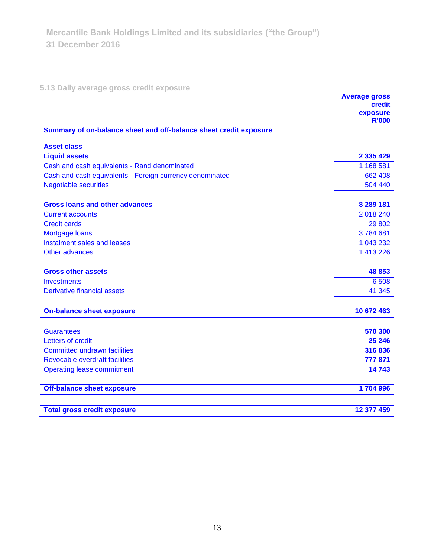**5.13 Daily average gross credit exposure** 

|                                                                   | <b>Average gross</b><br>credit<br>exposure |
|-------------------------------------------------------------------|--------------------------------------------|
| Summary of on-balance sheet and off-balance sheet credit exposure | <b>R'000</b>                               |
|                                                                   |                                            |
| <b>Asset class</b>                                                |                                            |
| <b>Liquid assets</b>                                              | 2 3 3 4 2 9                                |
| Cash and cash equivalents - Rand denominated                      | 1 168 581                                  |
| Cash and cash equivalents - Foreign currency denominated          | 662 408                                    |
| <b>Negotiable securities</b>                                      | 504 440                                    |
| <b>Gross loans and other advances</b>                             | 8 289 181                                  |
| <b>Current accounts</b>                                           | 2 018 240                                  |
| <b>Credit cards</b>                                               | 29 802                                     |
| Mortgage loans                                                    | 3784681                                    |
| Instalment sales and leases                                       | 1 043 232                                  |
| Other advances                                                    | 1 413 226                                  |
| <b>Gross other assets</b>                                         | 48 853                                     |
| <b>Investments</b>                                                | 6 5 0 8                                    |
| <b>Derivative financial assets</b>                                | 41 345                                     |
| <b>On-balance sheet exposure</b>                                  | 10 672 463                                 |
|                                                                   | 570 300                                    |
| <b>Guarantees</b><br>Letters of credit                            | 25 246                                     |
| <b>Committed undrawn facilities</b>                               | 316 836                                    |
| <b>Revocable overdraft facilities</b>                             | 777 871                                    |
| <b>Operating lease commitment</b>                                 | 14743                                      |
|                                                                   |                                            |
| <b>Off-balance sheet exposure</b>                                 | 1704996                                    |
| <b>Total gross credit exposure</b>                                | 12 377 459                                 |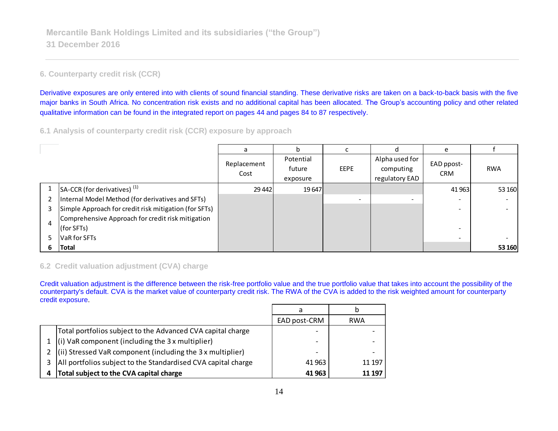# **6. Counterparty credit risk (CCR)**

Derivative exposures are only entered into with clients of sound financial standing. These derivative risks are taken on a back-to-back basis with the five major banks in South Africa. No concentration risk exists and no additional capital has been allocated. The Group's accounting policy and other related qualitative information can be found in the integrated report on pages 44 and pages 84 to 87 respectively.

## **6.1 Analysis of counterparty credit risk (CCR) exposure by approach**

|   |                                                       | a                   | h                               |             |                                               | e                        |            |
|---|-------------------------------------------------------|---------------------|---------------------------------|-------------|-----------------------------------------------|--------------------------|------------|
|   |                                                       | Replacement<br>Cost | Potential<br>future<br>exposure | <b>EEPE</b> | Alpha used for<br>computing<br>regulatory EAD | EAD ppost-<br><b>CRM</b> | <b>RWA</b> |
|   | $S_A-CCR$ (for derivatives) <sup>(1)</sup>            | 29 4 42             | 19 647                          |             |                                               | 41 9 63                  | 53 160     |
|   | Internal Model Method (for derivatives and SFTs)      |                     |                                 |             | -                                             | $\overline{\phantom{a}}$ |            |
| 3 | Simple Approach for credit risk mitigation (for SFTs) |                     |                                 |             |                                               | -                        |            |
| 4 | Comprehensive Approach for credit risk mitigation     |                     |                                 |             |                                               |                          |            |
|   | (for SFTs)                                            |                     |                                 |             |                                               | ۰                        |            |
| 5 | <b>VaR</b> for SFTs                                   |                     |                                 |             |                                               | $\overline{\phantom{a}}$ |            |
| 6 | Total                                                 |                     |                                 |             |                                               |                          | 53 160     |

# **6.2 Credit valuation adjustment (CVA) charge**

Credit valuation adjustment is the difference between the risk-free portfolio value and the true portfolio value that takes into account the possibility of the counterparty's default. CVA is the market value of counterparty credit risk. The RWA of the CVA is added to the risk weighted amount for counterparty credit exposure.

|    |                                                                    | a                        |            |
|----|--------------------------------------------------------------------|--------------------------|------------|
|    |                                                                    | EAD post-CRM             | <b>RWA</b> |
|    | Total portfolios subject to the Advanced CVA capital charge        |                          |            |
|    | $(i)$ VaR component (including the 3 x multiplier)                 | $\overline{\phantom{0}}$ |            |
|    | $\vert$ (ii) Stressed VaR component (including the 3 x multiplier) | -                        |            |
| 3. | All portfolios subject to the Standardised CVA capital charge      | 41 963                   | 11 197     |
|    | Total subject to the CVA capital charge                            | 41 963                   | 11 197     |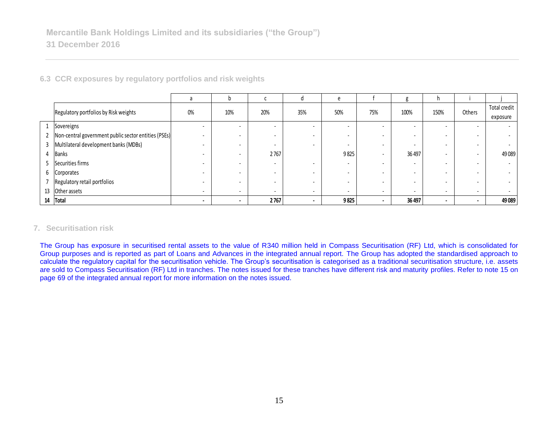|                |                                                      | a                        | n                        |                          |                          | e                        |                          | g                        | h.                       |                          |              |
|----------------|------------------------------------------------------|--------------------------|--------------------------|--------------------------|--------------------------|--------------------------|--------------------------|--------------------------|--------------------------|--------------------------|--------------|
|                | Regulatory portfolios by Risk weights                | 0%                       | 10%                      | 20%                      | 35%                      | 50%                      | 75%                      | 100%                     | 150%                     | Others                   | Total credit |
|                |                                                      |                          |                          |                          |                          |                          |                          |                          |                          |                          | exposure     |
|                | Sovereigns                                           |                          |                          |                          | $\overline{\phantom{0}}$ | ۰                        |                          | $\overline{\phantom{a}}$ | ۰.                       | $\overline{\phantom{a}}$ |              |
| $\overline{2}$ | Non-central government public sector entities (PSEs) |                          |                          |                          | $\overline{\phantom{0}}$ |                          |                          | $\overline{\phantom{a}}$ |                          |                          |              |
| 3              | Multilateral development banks (MDBs)                |                          |                          | $\overline{\phantom{0}}$ | $\overline{\phantom{0}}$ | $\overline{\phantom{a}}$ |                          | $\overline{\phantom{a}}$ | -                        | $\overline{\phantom{0}}$ |              |
| 4              | <b>Banks</b>                                         |                          |                          | 2767                     |                          | 9825                     |                          | 36 497                   | -                        | $\overline{\phantom{0}}$ | 49 0 89      |
| 5              | Securities firms                                     |                          |                          | $\overline{\phantom{0}}$ | $\overline{\phantom{0}}$ | $\overline{\phantom{a}}$ |                          | $\overline{\phantom{a}}$ | -                        | $\overline{\phantom{0}}$ |              |
| 6              | Corporates                                           |                          |                          |                          | $\overline{\phantom{0}}$ | $\overline{\phantom{a}}$ |                          | $\overline{\phantom{a}}$ | -                        |                          |              |
|                | Regulatory retail portfolios                         |                          |                          |                          | $\overline{\phantom{0}}$ | $\overline{\phantom{a}}$ | $\overline{\phantom{0}}$ | $\overline{\phantom{0}}$ | -                        | $\overline{\phantom{0}}$ |              |
| 13             | Other assets                                         | $\overline{\phantom{a}}$ | $\sim$                   | $\overline{\phantom{a}}$ | $\overline{\phantom{0}}$ | $\overline{\phantom{a}}$ | $\overline{\phantom{a}}$ | $\overline{\phantom{0}}$ | $\overline{\phantom{a}}$ | $\overline{\phantom{0}}$ |              |
| 14             | <b>Total</b>                                         | $\overline{\phantom{a}}$ | $\overline{\phantom{a}}$ | 2767                     | $\overline{\phantom{a}}$ | 9825                     | $\overline{\phantom{a}}$ | 36 497                   | $\blacksquare$           | $\blacksquare$           | 49 0 89      |

**6.3 CCR exposures by regulatory portfolios and risk weights**

## **7. Securitisation risk**

The Group has exposure in securitised rental assets to the value of R340 million held in Compass Securitisation (RF) Ltd, which is consolidated for Group purposes and is reported as part of Loans and Advances in the integrated annual report. The Group has adopted the standardised approach to calculate the regulatory capital for the securitisation vehicle. The Group's securitisation is categorised as a traditional securitisation structure, i.e. assets are sold to Compass Securitisation (RF) Ltd in tranches. The notes issued for these tranches have different risk and maturity profiles. Refer to note 15 on page 69 of the integrated annual report for more information on the notes issued.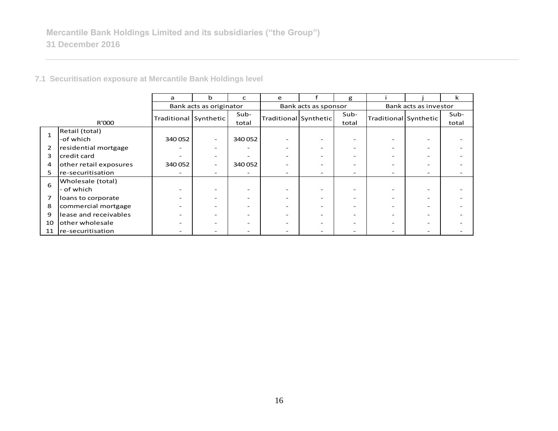**7.1 Securitisation exposure at Mercantile Bank Holdings level**

|                |                        | a                     | b                        | C      | e                        |                      | g     |                       |   | k     |  |
|----------------|------------------------|-----------------------|--------------------------|--------|--------------------------|----------------------|-------|-----------------------|---|-------|--|
|                |                        |                       | Bank acts as originator  |        |                          | Bank acts as sponsor |       | Bank acts as investor |   |       |  |
|                |                        |                       |                          | Sub-   |                          |                      | Sub-  |                       |   | Sub-  |  |
| R'000          |                        | Traditional Synthetic |                          | total  | Traditional Synthetic    |                      | total | Traditional Synthetic |   | total |  |
|                | Retail (total)         |                       |                          |        |                          |                      |       |                       |   |       |  |
|                | -of which              | 340052                | Ξ.                       | 340052 |                          |                      | -     |                       |   |       |  |
| $\overline{2}$ | residential mortgage   | ۰                     | -                        | -      |                          |                      | -     |                       |   |       |  |
| 3              | credit card            |                       | $\overline{\phantom{0}}$ |        |                          |                      |       |                       |   |       |  |
| 4              | other retail exposures | 340 052               | ۰                        | 340052 |                          |                      |       |                       |   |       |  |
| 5              | re-securitisation      | ۰                     | $\qquad \qquad$          | -      | $\overline{\phantom{a}}$ | -                    | -     | -                     | - |       |  |
| 6              | Wholesale (total)      |                       |                          |        |                          |                      |       |                       |   |       |  |
|                | - of which             |                       |                          |        |                          |                      |       |                       |   |       |  |
| 7              | loans to corporate     | -                     | $\overline{\phantom{a}}$ | -      |                          |                      | -     |                       |   |       |  |
| 8              | commercial mortgage    |                       | -                        |        |                          |                      |       |                       |   |       |  |
| 9              | lease and receivables  |                       |                          | -      |                          |                      |       |                       |   |       |  |
| 10             | other wholesale        |                       | $\overline{\phantom{a}}$ |        |                          |                      | -     |                       |   |       |  |
|                | 11 re-securitisation   |                       | -                        | -      |                          |                      |       |                       |   |       |  |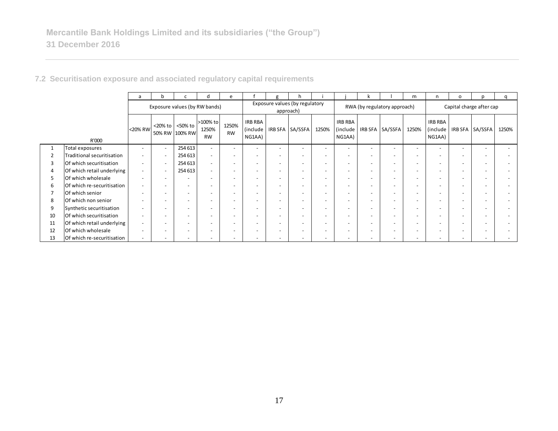|                |                            | a                        | b                        |                           | d                              | e                        |                                | g                        | h                              |                          |                                 |                          |                              | m                        | n.                                   | $\circ$                  | n                        | q     |
|----------------|----------------------------|--------------------------|--------------------------|---------------------------|--------------------------------|--------------------------|--------------------------------|--------------------------|--------------------------------|--------------------------|---------------------------------|--------------------------|------------------------------|--------------------------|--------------------------------------|--------------------------|--------------------------|-------|
|                |                            |                          |                          |                           | Exposure values (by RW bands)  |                          |                                | approach)                | Exposure values (by regulatory |                          |                                 |                          | RWA (by regulatory approach) |                          | Capital charge after cap             |                          |                          |       |
|                | R'000                      | <20% RW                  | <20% to                  | <50% to<br>50% RW 100% RW | >100% to<br>1250%<br><b>RW</b> | 1250%<br><b>RW</b>       | IRB RBA<br>(include)<br>NG1AA) |                          | IRB SFA SA/SSFA                | 1250%                    | IRB RBA<br>(include  <br>NG1AA) |                          | IRB SFA   SA/SSFA            | 1250%                    | <b>IRB RBA</b><br>(include<br>NG1AA) |                          | IRB SFA SA/SSFA          | 1250% |
|                | Total exposures            | $\overline{\phantom{a}}$ |                          | 254 613                   |                                | $\overline{\phantom{a}}$ | $\overline{\phantom{a}}$       |                          |                                |                          | $\overline{\phantom{a}}$        |                          |                              |                          |                                      | $\overline{\phantom{a}}$ |                          |       |
| 2              | Traditional securitisation | $\overline{\phantom{a}}$ |                          | 254 613                   |                                | $\overline{\phantom{a}}$ | $\overline{\phantom{a}}$       |                          |                                |                          | $\overline{\phantom{a}}$        | $\overline{\phantom{0}}$ |                              |                          |                                      | $\overline{\phantom{a}}$ |                          |       |
| 3              | Of which securitisation    | $\sim$                   |                          | 254 613                   |                                | $\overline{\phantom{a}}$ | $\overline{\phantom{a}}$       |                          |                                |                          | $\overline{\phantom{a}}$        | $\overline{\phantom{0}}$ | $\overline{\phantom{a}}$     |                          |                                      | $\overline{\phantom{a}}$ | $\overline{\phantom{0}}$ |       |
| 4              | Of which retail underlying | $\overline{\phantom{a}}$ |                          | 254 613                   |                                | $\overline{\phantom{a}}$ | $\overline{\phantom{0}}$       |                          |                                |                          | $\overline{\phantom{a}}$        |                          | $\overline{\phantom{a}}$     |                          |                                      | $\overline{\phantom{0}}$ |                          |       |
| 5              | Of which wholesale         | $\overline{\phantom{a}}$ |                          |                           |                                | $\overline{\phantom{a}}$ | $\overline{\phantom{a}}$       | $\overline{\phantom{a}}$ | $\overline{a}$                 |                          | $\overline{\phantom{a}}$        | $\overline{\phantom{0}}$ | $\overline{\phantom{a}}$     |                          |                                      | $\overline{\phantom{a}}$ | $\overline{\phantom{0}}$ |       |
| 6              | Of which re-securitisation | $\overline{\phantom{a}}$ |                          | $\overline{\phantom{0}}$  | $\overline{\phantom{0}}$       | $\overline{\phantom{a}}$ | $\overline{\phantom{a}}$       |                          |                                |                          | $\overline{\phantom{a}}$        | $\overline{\phantom{0}}$ | $\overline{\phantom{a}}$     |                          |                                      | $\overline{\phantom{a}}$ | $\overline{\phantom{0}}$ |       |
| $\overline{ }$ | Of which senior            | $\overline{\phantom{a}}$ |                          | $\overline{\phantom{a}}$  | $\overline{\phantom{0}}$       | $\overline{\phantom{a}}$ | $\overline{\phantom{a}}$       | $\overline{\phantom{a}}$ |                                |                          | $\overline{\phantom{a}}$        | $\overline{\phantom{0}}$ | $\overline{\phantom{a}}$     |                          |                                      | $\overline{\phantom{a}}$ | $\overline{\phantom{a}}$ |       |
| 8              | Of which non senior        | $\overline{\phantom{a}}$ |                          | $\overline{\phantom{a}}$  | $\overline{\phantom{0}}$       | $\overline{\phantom{a}}$ | $\overline{\phantom{a}}$       |                          |                                | $\overline{\phantom{0}}$ | $\overline{\phantom{a}}$        | $\overline{\phantom{0}}$ | $\overline{\phantom{a}}$     |                          |                                      | $\overline{\phantom{a}}$ | $\overline{\phantom{0}}$ |       |
| 9              | Synthetic securitisation   | $\overline{\phantom{a}}$ |                          |                           |                                | $\overline{\phantom{a}}$ |                                |                          |                                |                          | $\overline{\phantom{a}}$        |                          |                              |                          |                                      | $\overline{\phantom{0}}$ |                          |       |
| 10             | Of which securitisation    | $\sim$                   | $\overline{\phantom{0}}$ | $\overline{\phantom{a}}$  | $\overline{\phantom{0}}$       | $\sim$                   | $\overline{a}$                 | $\overline{\phantom{a}}$ | $\overline{a}$                 |                          | $\overline{\phantom{a}}$        | $\overline{\phantom{0}}$ | $\overline{\phantom{a}}$     | <u>. .</u>               |                                      | $\overline{\phantom{0}}$ | $\overline{\phantom{0}}$ |       |
| 11             | Of which retail underlying | $\overline{\phantom{a}}$ |                          |                           |                                | $\overline{\phantom{a}}$ |                                |                          |                                |                          | $\overline{\phantom{a}}$        | $\overline{\phantom{0}}$ |                              |                          |                                      | $\overline{\phantom{0}}$ |                          |       |
| 12             | Of which wholesale         | $\overline{\phantom{a}}$ |                          |                           |                                | $\overline{\phantom{a}}$ |                                |                          |                                |                          | $\overline{\phantom{0}}$        |                          |                              |                          |                                      | $\overline{\phantom{0}}$ |                          |       |
| 13             | Of which re-securitisation | $\overline{\phantom{a}}$ |                          | $\overline{\phantom{a}}$  |                                | $\overline{\phantom{a}}$ |                                |                          | $\overline{a}$                 |                          | $\overline{\phantom{a}}$        | $\overline{\phantom{0}}$ |                              | $\overline{\phantom{a}}$ |                                      | $\overline{\phantom{a}}$ | $\overline{\phantom{a}}$ |       |

**7.2 Securitisation exposure and associated regulatory capital requirements**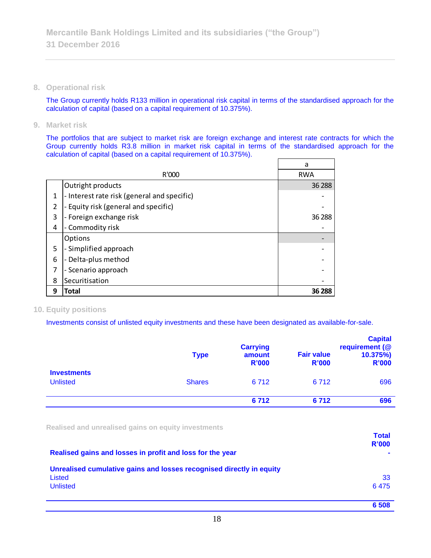**8. Operational risk**

The Group currently holds R133 million in operational risk capital in terms of the standardised approach for the calculation of capital (based on a capital requirement of 10.375%).

**9. Market risk**

The portfolios that are subject to market risk are foreign exchange and interest rate contracts for which the Group currently holds R3.8 million in market risk capital in terms of the standardised approach for the calculation of capital (based on a capital requirement of 10.375%).

|   |                                             | a          |
|---|---------------------------------------------|------------|
|   | R'000                                       | <b>RWA</b> |
|   | Outright products                           | 36 288     |
| 1 | - Interest rate risk (general and specific) |            |
| 2 | - Equity risk (general and specific)        |            |
| 3 | - Foreign exchange risk                     | 36 288     |
| 4 | Commodity risk                              |            |
|   | <b>Options</b>                              |            |
| 5 | - Simplified approach                       |            |
| 6 | Delta-plus method                           |            |
| 7 | - Scenario approach                         |            |
| 8 | Securitisation                              |            |
| 9 | Total                                       | 36 288     |

## **10. Equity positions**

Investments consist of unlisted equity investments and these have been designated as available-for-sale.

|                                       | <b>Type</b>   | <b>Carrying</b><br>amount<br><b>R'000</b> | <b>Fair value</b><br><b>R'000</b> | <b>Capital</b><br>requirement (@<br>10.375%<br><b>R'000</b> |
|---------------------------------------|---------------|-------------------------------------------|-----------------------------------|-------------------------------------------------------------|
| <b>Investments</b><br><b>Unlisted</b> | <b>Shares</b> | 6 7 1 2                                   | 6 7 1 2                           | 696                                                         |
|                                       |               | 6712                                      | 6712                              | 696                                                         |

**Realised and unrealised gains on equity investments**

|                                                                      | <b>Total</b><br><b>R'000</b> |
|----------------------------------------------------------------------|------------------------------|
| Realised gains and losses in profit and loss for the year            |                              |
| Unrealised cumulative gains and losses recognised directly in equity |                              |
| Listed                                                               | 33                           |
| <b>Unlisted</b>                                                      | 6475                         |
|                                                                      | 6 5 0 8                      |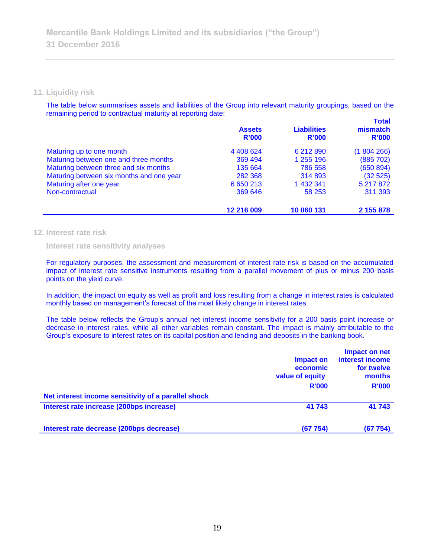#### **11. Liquidity risk**

The table below summarises assets and liabilities of the Group into relevant maturity groupings, based on the remaining period to contractual maturity at reporting date:

|                                          | <b>Assets</b><br>R'000 | <b>Liabilities</b><br>R'000 | <b>Total</b><br>mismatch<br>R'000 |
|------------------------------------------|------------------------|-----------------------------|-----------------------------------|
| Maturing up to one month                 | 4 4 0 8 6 2 4          | 6 212 890                   | (1804266)                         |
| Maturing between one and three months    | 369 494                | 1 255 196                   | (885 702)                         |
| Maturing between three and six months    | 135 664                | 786 558                     | (650 894)                         |
| Maturing between six months and one year | 282 368                | 314 893                     | (32525)                           |
| Maturing after one year                  | 6 650 213              | 1 432 341                   | 5 217 872                         |
| Non-contractual                          | 369 646                | 58 253                      | 311 393                           |
|                                          | 12 216 009             | 10 060 131                  | 2 155 878                         |

#### **12. Interest rate risk**

**Interest rate sensitivity analyses**

For regulatory purposes, the assessment and measurement of interest rate risk is based on the accumulated impact of interest rate sensitive instruments resulting from a parallel movement of plus or minus 200 basis points on the yield curve.

In addition, the impact on equity as well as profit and loss resulting from a change in interest rates is calculated monthly based on management's forecast of the most likely change in interest rates.

The table below reflects the Group's annual net interest income sensitivity for a 200 basis point increase or decrease in interest rates, while all other variables remain constant. The impact is mainly attributable to the Group's exposure to interest rates on its capital position and lending and deposits in the banking book.

|                                                     | Impact on<br>economic<br>value of equity<br><b>R'000</b> | Impact on net<br>interest income<br>for twelve<br>months<br><b>R'000</b> |
|-----------------------------------------------------|----------------------------------------------------------|--------------------------------------------------------------------------|
| Net interest income sensitivity of a parallel shock |                                                          |                                                                          |
| Interest rate increase (200bps increase)            | 41 743                                                   | 41 743                                                                   |
| Interest rate decrease (200bps decrease)            | (67754)                                                  | (67754)                                                                  |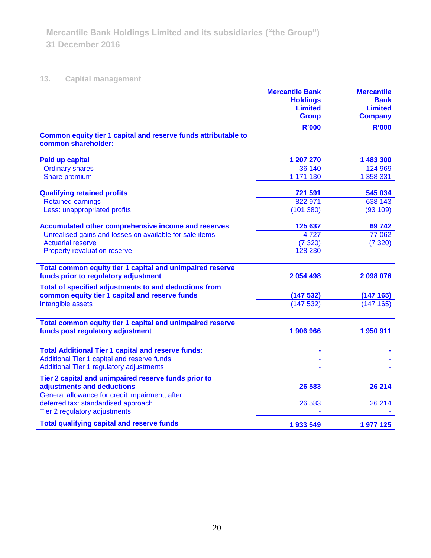# **13. Capital management**

|                                                                                       | <b>Mercantile Bank</b><br><b>Holdings</b><br><b>Limited</b><br><b>Group</b> | <b>Mercantile</b><br><b>Bank</b><br><b>Limited</b><br><b>Company</b> |
|---------------------------------------------------------------------------------------|-----------------------------------------------------------------------------|----------------------------------------------------------------------|
|                                                                                       | <b>R'000</b>                                                                | <b>R'000</b>                                                         |
| Common equity tier 1 capital and reserve funds attributable to<br>common shareholder: |                                                                             |                                                                      |
| <b>Paid up capital</b>                                                                | 1 207 270                                                                   | 1 483 300                                                            |
| <b>Ordinary shares</b>                                                                | 36 140                                                                      | 124 969                                                              |
| Share premium                                                                         | 1 171 130                                                                   | 1 358 331                                                            |
| <b>Qualifying retained profits</b>                                                    | 721 591                                                                     | 545 034                                                              |
| <b>Retained earnings</b>                                                              | 822 971                                                                     | 638 143                                                              |
| Less: unappropriated profits                                                          | (101380)                                                                    | (93 109)                                                             |
| Accumulated other comprehensive income and reserves                                   | 125 637                                                                     | 69742                                                                |
| Unrealised gains and losses on available for sale items                               | 4727                                                                        | 77 062                                                               |
| <b>Actuarial reserve</b>                                                              | (7320)                                                                      | (7320)                                                               |
| <b>Property revaluation reserve</b>                                                   | 128 230                                                                     |                                                                      |
| Total common equity tier 1 capital and unimpaired reserve                             |                                                                             |                                                                      |
| funds prior to regulatory adjustment                                                  | 2 054 498                                                                   | 2098076                                                              |
| Total of specified adjustments to and deductions from                                 |                                                                             |                                                                      |
| common equity tier 1 capital and reserve funds                                        | (147532)                                                                    | (147 165)                                                            |
| Intangible assets                                                                     | (147532)                                                                    | (147 165)                                                            |
| Total common equity tier 1 capital and unimpaired reserve                             |                                                                             |                                                                      |
| funds post regulatory adjustment                                                      | 1 906 966                                                                   | 1950911                                                              |
| <b>Total Additional Tier 1 capital and reserve funds:</b>                             |                                                                             |                                                                      |
| Additional Tier 1 capital and reserve funds                                           |                                                                             |                                                                      |
| Additional Tier 1 regulatory adjustments                                              |                                                                             |                                                                      |
| Tier 2 capital and unimpaired reserve funds prior to                                  |                                                                             |                                                                      |
| adjustments and deductions                                                            | 26 583                                                                      | 26 214                                                               |
| General allowance for credit impairment, after<br>deferred tax: standardised approach | 26 583                                                                      | 26 214                                                               |
| Tier 2 regulatory adjustments                                                         |                                                                             |                                                                      |
| <b>Total qualifying capital and reserve funds</b>                                     | 1933549                                                                     | 1977125                                                              |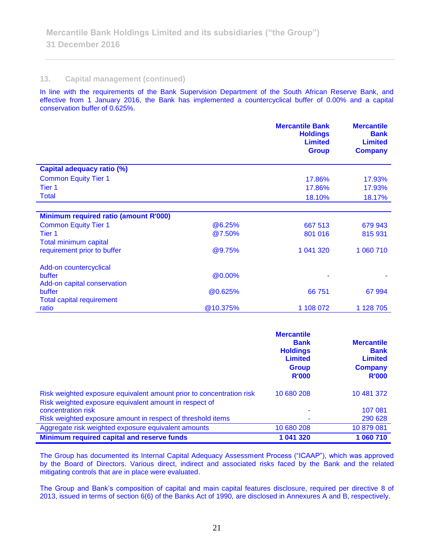#### **13. Capital management (continued)**

In line with the requirements of the Bank Supervision Department of the South African Reserve Bank, and effective from 1 January 2016, the Bank has implemented a countercyclical buffer of 0.00% and a capital conservation buffer of 0.625%.

|                                              |                | <b>Mercantile Bank</b><br><b>Holdings</b><br><b>Limited</b><br><b>Group</b> | <b>Mercantile</b><br><b>Bank</b><br><b>Limited</b><br><b>Company</b> |
|----------------------------------------------|----------------|-----------------------------------------------------------------------------|----------------------------------------------------------------------|
| <b>Capital adequacy ratio (%)</b>            |                |                                                                             |                                                                      |
| <b>Common Equity Tier 1</b>                  |                | 17.86%                                                                      | 17.93%                                                               |
| Tier 1                                       |                | 17.86%                                                                      | 17.93%                                                               |
| <b>Total</b>                                 |                | 18.10%                                                                      | 18.17%                                                               |
|                                              |                |                                                                             |                                                                      |
| <b>Minimum required ratio (amount R'000)</b> |                |                                                                             |                                                                      |
| <b>Common Equity Tier 1</b>                  | @6.25%         | 667 513                                                                     | 679 943                                                              |
| Tier <sub>1</sub>                            | @7.50%         | 801 016                                                                     | 815 931                                                              |
| Total minimum capital                        |                |                                                                             |                                                                      |
| requirement prior to buffer                  | @9.75%         | 1 041 320                                                                   | 1 060 710                                                            |
| Add-on countercyclical                       |                |                                                                             |                                                                      |
| buffer                                       | @0.00%         | ۰                                                                           |                                                                      |
| Add-on capital conservation                  |                |                                                                             |                                                                      |
| buffer                                       | <b>@0.625%</b> | 66 751                                                                      | 67 994                                                               |
| <b>Total capital requirement</b>             |                |                                                                             |                                                                      |
| ratio                                        | @10.375%       | 1 108 072                                                                   | 1 128 705                                                            |

|                                                                                                                                | <b>Mercantile</b><br><b>Bank</b><br><b>Holdings</b><br><b>Limited</b><br><b>Group</b><br><b>R'000</b> | <b>Mercantile</b><br><b>Bank</b><br><b>Limited</b><br><b>Company</b><br><b>R'000</b> |
|--------------------------------------------------------------------------------------------------------------------------------|-------------------------------------------------------------------------------------------------------|--------------------------------------------------------------------------------------|
| Risk weighted exposure equivalent amount prior to concentration risk<br>Risk weighted exposure equivalent amount in respect of | 10 680 208                                                                                            | 10 481 372                                                                           |
| concentration risk                                                                                                             | ۰                                                                                                     | 107 081                                                                              |
| Risk weighted exposure amount in respect of threshold items                                                                    | ۰                                                                                                     | 290 628                                                                              |
| Aggregate risk weighted exposure equivalent amounts                                                                            | 10 680 208                                                                                            | 10 879 081                                                                           |
| <b>Minimum required capital and reserve funds</b>                                                                              | 1 041 320                                                                                             | 1 060 710                                                                            |

The Group has documented its Internal Capital Adequacy Assessment Process ("ICAAP"), which was approved by the Board of Directors. Various direct, indirect and associated risks faced by the Bank and the related mitigating controls that are in place were evaluated.

The Group and Bank's composition of capital and main capital features disclosure, required per directive 8 of 2013, issued in terms of section 6(6) of the Banks Act of 1990, are disclosed in Annexures A and B, respectively.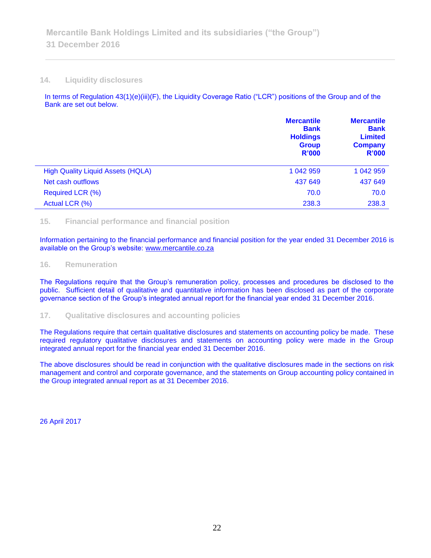#### **14. Liquidity disclosures**

In terms of Regulation 43(1)(e)(iii)(F), the Liquidity Coverage Ratio ("LCR") positions of the Group and of the Bank are set out below.

|                                          | <b>Mercantile</b><br><b>Bank</b><br><b>Holdings</b><br><b>Group</b><br>R'000 | <b>Mercantile</b><br><b>Bank</b><br><b>Limited</b><br><b>Company</b><br><b>R'000</b> |
|------------------------------------------|------------------------------------------------------------------------------|--------------------------------------------------------------------------------------|
| <b>High Quality Liquid Assets (HQLA)</b> | 1 042 959                                                                    | 1 042 959                                                                            |
| Net cash outflows                        | 437 649                                                                      | 437 649                                                                              |
| Required LCR (%)                         | 70.0                                                                         | 70.0                                                                                 |
| Actual LCR (%)                           | 238.3                                                                        | 238.3                                                                                |

#### **15. Financial performance and financial position**

Information pertaining to the financial performance and financial position for the year ended 31 December 2016 is available on the Group's website: [www.mercantile.co.za](http://www.mercantile.co.za/)

#### **16. Remuneration**

The Regulations require that the Group's remuneration policy, processes and procedures be disclosed to the public. Sufficient detail of qualitative and quantitative information has been disclosed as part of the corporate governance section of the Group's integrated annual report for the financial year ended 31 December 2016.

#### **17. Qualitative disclosures and accounting policies**

The Regulations require that certain qualitative disclosures and statements on accounting policy be made. These required regulatory qualitative disclosures and statements on accounting policy were made in the Group integrated annual report for the financial year ended 31 December 2016.

The above disclosures should be read in conjunction with the qualitative disclosures made in the sections on risk management and control and corporate governance, and the statements on Group accounting policy contained in the Group integrated annual report as at 31 December 2016.

26 April 2017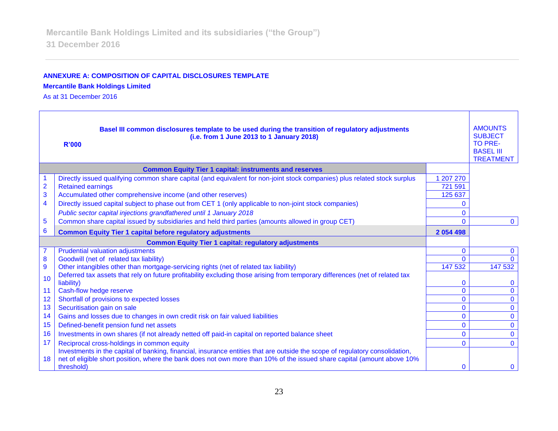## **ANNEXURE A: COMPOSITION OF CAPITAL DISCLOSURES TEMPLATE**

## **Mercantile Bank Holdings Limited**

As at 31 December 2016

| Basel III common disclosures template to be used during the transition of regulatory adjustments<br>(i.e. from 1 June 2013 to 1 January 2018)<br><b>R'000</b> |                                                                                                                                       |               | <b>AMOUNTS</b><br><b>SUBJECT</b><br><b>TO PRE-</b><br><b>BASEL III</b><br><b>TREATMENT</b> |
|---------------------------------------------------------------------------------------------------------------------------------------------------------------|---------------------------------------------------------------------------------------------------------------------------------------|---------------|--------------------------------------------------------------------------------------------|
|                                                                                                                                                               | <b>Common Equity Tier 1 capital: instruments and reserves</b>                                                                         |               |                                                                                            |
|                                                                                                                                                               | Directly issued qualifying common share capital (and equivalent for non-joint stock companies) plus related stock surplus             | 1 207 270     |                                                                                            |
| $\overline{\mathbf{c}}$                                                                                                                                       | <b>Retained earnings</b>                                                                                                              | 721 591       |                                                                                            |
| 3                                                                                                                                                             | Accumulated other comprehensive income (and other reserves)                                                                           | 125 637       |                                                                                            |
| $\overline{\mathbf{4}}$                                                                                                                                       | Directly issued capital subject to phase out from CET 1 (only applicable to non-joint stock companies)                                | 0             |                                                                                            |
|                                                                                                                                                               | Public sector capital injections grandfathered until 1 January 2018                                                                   | $\mathbf{0}$  |                                                                                            |
| 5                                                                                                                                                             | Common share capital issued by subsidiaries and held third parties (amounts allowed in group CET)                                     | $\Omega$      | $\mathbf{0}$                                                                               |
| 6                                                                                                                                                             | <b>Common Equity Tier 1 capital before regulatory adjustments</b>                                                                     | 2 0 5 4 4 9 8 |                                                                                            |
|                                                                                                                                                               | <b>Common Equity Tier 1 capital: regulatory adjustments</b>                                                                           |               |                                                                                            |
| $\overline{7}$                                                                                                                                                | <b>Prudential valuation adjustments</b>                                                                                               | $\mathbf{0}$  | $\mathbf{0}$                                                                               |
| 8                                                                                                                                                             | Goodwill (net of related tax liability)                                                                                               | $\Omega$      |                                                                                            |
| $\overline{9}$                                                                                                                                                | Other intangibles other than mortgage-servicing rights (net of related tax liability)                                                 | 147 532       | 147 532                                                                                    |
| 10                                                                                                                                                            | Deferred tax assets that rely on future profitability excluding those arising from temporary differences (net of related tax          |               |                                                                                            |
|                                                                                                                                                               | liability)                                                                                                                            | 0             | $\Omega$                                                                                   |
| 11                                                                                                                                                            | Cash-flow hedge reserve                                                                                                               | $\mathbf{0}$  | $\Omega$                                                                                   |
| 12                                                                                                                                                            | Shortfall of provisions to expected losses                                                                                            | 0             | $\mathbf{0}$                                                                               |
| 13                                                                                                                                                            | Securitisation gain on sale                                                                                                           | 0             | $\Omega$                                                                                   |
| 14                                                                                                                                                            | Gains and losses due to changes in own credit risk on fair valued liabilities                                                         | 0             | $\Omega$                                                                                   |
| 15                                                                                                                                                            | Defined-benefit pension fund net assets                                                                                               | 0             | $\Omega$                                                                                   |
| 16                                                                                                                                                            | Investments in own shares (if not already netted off paid-in capital on reported balance sheet                                        | 0             | $\Omega$                                                                                   |
| 17                                                                                                                                                            | Reciprocal cross-holdings in common equity                                                                                            | $\Omega$      | $\Omega$                                                                                   |
|                                                                                                                                                               | Investments in the capital of banking, financial, insurance entities that are outside the scope of regulatory consolidation,          |               |                                                                                            |
| 18                                                                                                                                                            | net of eligible short position, where the bank does not own more than 10% of the issued share capital (amount above 10%<br>threshold) | $\mathbf{0}$  | $\Omega$                                                                                   |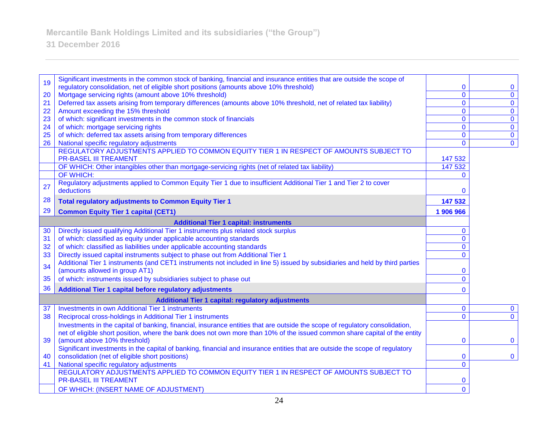**31 December 2016**

| 19 | Significant investments in the common stock of banking, financial and insurance entities that are outside the scope of                                                          |                |                |
|----|---------------------------------------------------------------------------------------------------------------------------------------------------------------------------------|----------------|----------------|
|    | regulatory consolidation, net of eligible short positions (amounts above 10% threshold)                                                                                         | 0              | $\bf{0}$       |
| 20 | Mortgage servicing rights (amount above 10% threshold)                                                                                                                          | $\mathbf{O}$   | $\mathbf 0$    |
| 21 | Deferred tax assets arising from temporary differences (amounts above 10% threshold, net of related tax liability)                                                              | $\overline{0}$ | $\mathbf{0}$   |
| 22 | Amount exceeding the 15% threshold                                                                                                                                              | $\mathbf 0$    | $\mathbf 0$    |
| 23 | of which: significant investments in the common stock of financials                                                                                                             | $\mathbf 0$    | $\mathbf 0$    |
| 24 | of which: mortgage servicing rights                                                                                                                                             | $\mathbf 0$    | $\mathbf 0$    |
| 25 | of which: deferred tax assets arising from temporary differences                                                                                                                | $\mathbf 0$    | $\mathbf 0$    |
| 26 | National specific regulatory adjustments                                                                                                                                        | $\mathbf 0$    | $\overline{0}$ |
|    | REGULATORY ADJUSTMENTS APPLIED TO COMMON EQUITY TIER 1 IN RESPECT OF AMOUNTS SUBJECT TO<br><b>PR-BASEL III TREAMENT</b>                                                         | 147 532        |                |
|    | OF WHICH: Other intangibles other than mortgage-servicing rights (net of related tax liability)                                                                                 | 147 532        |                |
|    | OF WHICH:                                                                                                                                                                       | 0              |                |
| 27 | Regulatory adjustments applied to Common Equity Tier 1 due to insufficient Additional Tier 1 and Tier 2 to cover<br>deductions                                                  | 0              |                |
| 28 | <b>Total regulatory adjustments to Common Equity Tier 1</b>                                                                                                                     | 147 532        |                |
| 29 | <b>Common Equity Tier 1 capital (CET1)</b>                                                                                                                                      | 1 906 966      |                |
|    | <b>Additional Tier 1 capital: instruments</b>                                                                                                                                   |                |                |
| 30 | Directly issued qualifying Additional Tier 1 instruments plus related stock surplus                                                                                             | $\mathbf{0}$   |                |
| 31 | of which: classified as equity under applicable accounting standards                                                                                                            | $\mathbf{0}$   |                |
| 32 | of which: classified as liabilities under applicable accounting standards                                                                                                       | $\mathbf{0}$   |                |
| 33 | Directly issued capital instruments subject to phase out from Additional Tier 1                                                                                                 | $\Omega$       |                |
| 34 | Additional Tier 1 instruments (and CET1 instruments not included in line 5) issued by subsidiaries and held by third parties                                                    |                |                |
|    | (amounts allowed in group AT1)                                                                                                                                                  | 0              |                |
| 35 | of which: instruments issued by subsidiaries subject to phase out                                                                                                               | $\overline{0}$ |                |
| 36 | Additional Tier 1 capital before regulatory adjustments                                                                                                                         | $\Omega$       |                |
|    | <b>Additional Tier 1 capital: regulatory adjustments</b>                                                                                                                        |                |                |
| 37 | <b>Investments in own Additional Tier 1 instruments</b>                                                                                                                         | $\bf{0}$       | $\mathbf 0$    |
| 38 | Reciprocal cross-holdings in Additional Tier 1 instruments                                                                                                                      | $\Omega$       | $\Omega$       |
|    | Investments in the capital of banking, financial, insurance entities that are outside the scope of regulatory consolidation,                                                    |                |                |
|    | net of eligible short position, where the bank does not own more than 10% of the issued common share capital of the entity                                                      |                |                |
| 39 | (amount above 10% threshold)                                                                                                                                                    | $\mathbf 0$    | $\mathbf 0$    |
| 40 | Significant investments in the capital of banking, financial and insurance entities that are outside the scope of regulatory<br>consolidation (net of eligible short positions) | 0              | $\mathbf 0$    |
| 41 | National specific regulatory adjustments                                                                                                                                        | $\mathbf{0}$   |                |
|    | REGULATORY ADJUSTMENTS APPLIED TO COMMON EQUITY TIER 1 IN RESPECT OF AMOUNTS SUBJECT TO                                                                                         |                |                |
|    | <b>PR-BASEL III TREAMENT</b>                                                                                                                                                    | 0              |                |
|    | OF WHICH: (INSERT NAME OF ADJUSTMENT)                                                                                                                                           | $\overline{0}$ |                |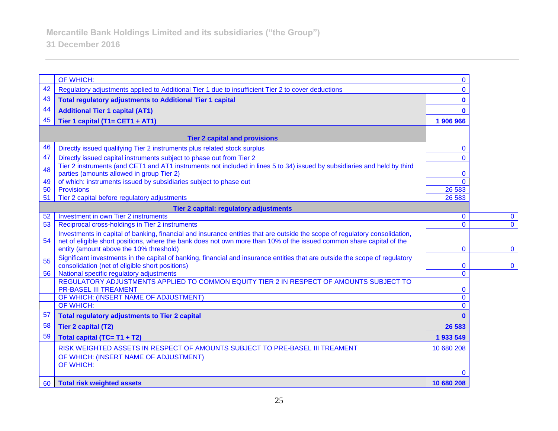|    | OF WHICH:                                                                                                                                                                                                                                           | $\mathbf{0}$ |                |
|----|-----------------------------------------------------------------------------------------------------------------------------------------------------------------------------------------------------------------------------------------------------|--------------|----------------|
| 42 | Regulatory adjustments applied to Additional Tier 1 due to insufficient Tier 2 to cover deductions                                                                                                                                                  | $\mathbf{0}$ |                |
| 43 | <b>Total regulatory adjustments to Additional Tier 1 capital</b>                                                                                                                                                                                    | $\mathbf 0$  |                |
| 44 | <b>Additional Tier 1 capital (AT1)</b>                                                                                                                                                                                                              | $\bf{0}$     |                |
| 45 | Tier 1 capital (T1= CET1 + AT1)                                                                                                                                                                                                                     | 1 906 966    |                |
|    |                                                                                                                                                                                                                                                     |              |                |
|    | <b>Tier 2 capital and provisions</b>                                                                                                                                                                                                                |              |                |
| 46 | Directly issued qualifying Tier 2 instruments plus related stock surplus                                                                                                                                                                            | $\mathbf{0}$ |                |
| 47 | Directly issued capital instruments subject to phase out from Tier 2                                                                                                                                                                                | $\mathbf{0}$ |                |
| 48 | Tier 2 instruments (and CET1 and AT1 instruments not included in lines 5 to 34) issued by subsidiaries and held by third<br>parties (amounts allowed in group Tier 2)                                                                               | $\mathbf{0}$ |                |
| 49 | of which: instruments issued by subsidiaries subject to phase out                                                                                                                                                                                   | $\Omega$     |                |
| 50 | <b>Provisions</b>                                                                                                                                                                                                                                   | 26 5 83      |                |
| 51 | Tier 2 capital before regulatory adjustments                                                                                                                                                                                                        | 26 5 83      |                |
|    | Tier 2 capital: regulatory adjustments                                                                                                                                                                                                              |              |                |
| 52 | Investment in own Tier 2 instruments                                                                                                                                                                                                                | $\mathbf{0}$ | $\mathbf 0$    |
| 53 | Reciprocal cross-holdings in Tier 2 instruments                                                                                                                                                                                                     | $\mathbf{0}$ | $\overline{0}$ |
| 54 | Investments in capital of banking, financial and insurance entities that are outside the scope of regulatory consolidation,<br>net of eligible short positions, where the bank does not own more than 10% of the issued common share capital of the |              |                |
|    | entity (amount above the 10% threshold)                                                                                                                                                                                                             | $\mathbf 0$  | $\mathbf 0$    |
| 55 | Significant investments in the capital of banking, financial and insurance entities that are outside the scope of regulatory<br>consolidation (net of eligible short positions)                                                                     | $\mathbf 0$  | $\mathbf 0$    |
| 56 | National specific regulatory adjustments                                                                                                                                                                                                            | $\mathbf{0}$ |                |
|    | REGULATORY ADJUSTMENTS APPLIED TO COMMON EQUITY TIER 2 IN RESPECT OF AMOUNTS SUBJECT TO<br><b>PR-BASEL III TREAMENT</b>                                                                                                                             | $\bf{0}$     |                |
|    | OF WHICH: (INSERT NAME OF ADJUSTMENT)                                                                                                                                                                                                               | $\mathbf 0$  |                |
|    | <b>OF WHICH:</b>                                                                                                                                                                                                                                    | $\Omega$     |                |
| 57 | <b>Total regulatory adjustments to Tier 2 capital</b>                                                                                                                                                                                               | $\mathbf{0}$ |                |
| 58 | <b>Tier 2 capital (T2)</b>                                                                                                                                                                                                                          | 26 5 83      |                |
| 59 | Total capital (TC= T1 + T2)                                                                                                                                                                                                                         | 1933549      |                |
|    | RISK WEIGHTED ASSETS IN RESPECT OF AMOUNTS SUBJECT TO PRE-BASEL III TREAMENT                                                                                                                                                                        | 10 680 208   |                |
|    | OF WHICH: (INSERT NAME OF ADJUSTMENT)                                                                                                                                                                                                               |              |                |
|    | OF WHICH:                                                                                                                                                                                                                                           | $\Omega$     |                |
|    | 60 Total risk weighted assets                                                                                                                                                                                                                       | 10 680 208   |                |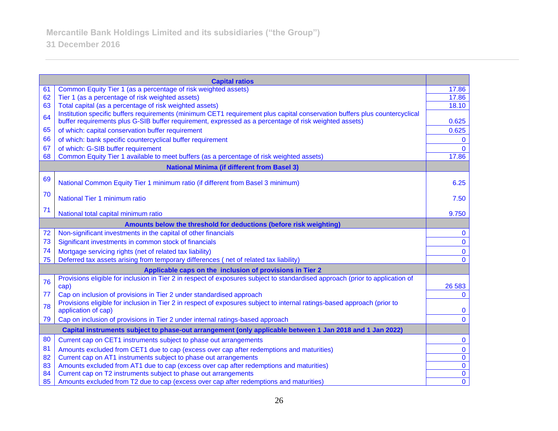|    | <b>Capital ratios</b>                                                                                                                           |                |
|----|-------------------------------------------------------------------------------------------------------------------------------------------------|----------------|
| 61 | Common Equity Tier 1 (as a percentage of risk weighted assets)                                                                                  | 17.86          |
| 62 | Tier 1 (as a percentage of risk weighted assets)                                                                                                | 17.86          |
| 63 | Total capital (as a percentage of risk weighted assets)                                                                                         | 18.10          |
| 64 | Institution specific buffers requirements (minimum CET1 requirement plus capital conservation buffers plus countercyclical                      |                |
|    | buffer requirements plus G-SIB buffer requirement, expressed as a percentage of risk weighted assets)                                           | 0.625          |
| 65 | of which: capital conservation buffer requirement                                                                                               | 0.625          |
| 66 | of which: bank specific countercyclical buffer requirement                                                                                      | $\bf{0}$       |
| 67 | of which: G-SIB buffer requirement                                                                                                              | $\mathbf{0}$   |
| 68 | Common Equity Tier 1 available to meet buffers (as a percentage of risk weighted assets)                                                        | 17.86          |
|    | <b>National Minima (if different from Basel 3)</b>                                                                                              |                |
| 69 | National Common Equity Tier 1 minimum ratio (if different from Basel 3 minimum)                                                                 | 6.25           |
| 70 | National Tier 1 minimum ratio                                                                                                                   | 7.50           |
| 71 | National total capital minimum ratio                                                                                                            | 9.750          |
|    | Amounts below the threshold for deductions (before risk weighting)                                                                              |                |
| 72 | Non-significant investments in the capital of other financials                                                                                  | $\mathbf{0}$   |
| 73 | Significant investments in common stock of financials                                                                                           | $\mathbf 0$    |
| 74 | Mortgage servicing rights (net of related tax liability)                                                                                        | $\mathbf{0}$   |
| 75 | Deferred tax assets arising from temporary differences (net of related tax liability)                                                           | $\mathbf{0}$   |
|    | Applicable caps on the inclusion of provisions in Tier 2                                                                                        |                |
| 76 | Provisions eligible for inclusion in Tier 2 in respect of exposures subject to standardised approach (prior to application of                   |                |
|    | cap)                                                                                                                                            | 26 5 83        |
| 77 | Cap on inclusion of provisions in Tier 2 under standardised approach                                                                            | $\mathbf{0}$   |
| 78 | Provisions eligible for inclusion in Tier 2 in respect of exposures subject to internal ratings-based approach (prior to<br>application of cap) | $\mathbf{0}$   |
| 79 | Cap on inclusion of provisions in Tier 2 under internal ratings-based approach                                                                  | $\mathbf{0}$   |
|    | Capital instruments subject to phase-out arrangement (only applicable between 1 Jan 2018 and 1 Jan 2022)                                        |                |
| 80 | Current cap on CET1 instruments subject to phase out arrangements                                                                               | $\mathbf 0$    |
| 81 | Amounts excluded from CET1 due to cap (excess over cap after redemptions and maturities)                                                        | $\mathbf 0$    |
| 82 | Current cap on AT1 instruments subject to phase out arrangements                                                                                | $\pmb{0}$      |
| 83 | Amounts excluded from AT1 due to cap (excess over cap after redemptions and maturities)                                                         | $\overline{0}$ |
| 84 | Current cap on T2 instruments subject to phase out arrangements                                                                                 | $\overline{0}$ |
| 85 | Amounts excluded from T2 due to cap (excess over cap after redemptions and maturities)                                                          | $\overline{0}$ |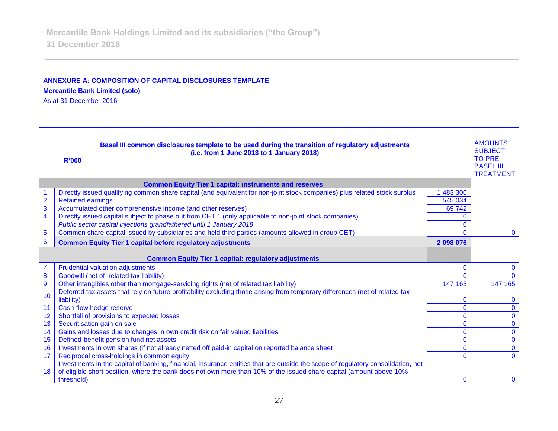# **ANNEXURE A: COMPOSITION OF CAPITAL DISCLOSURES TEMPLATE**

**Mercantile Bank Limited (solo)**

As at 31 December 2016

| Basel III common disclosures template to be used during the transition of regulatory adjustments<br>(i.e. from 1 June 2013 to 1 January 2018)<br><b>R'000</b> |                                                                                                                                                                                | <b>AMOUNTS</b><br><b>SUBJECT</b><br><b>TO PRE-</b><br><b>BASEL III</b><br><b>TREATMENT</b> |                             |
|---------------------------------------------------------------------------------------------------------------------------------------------------------------|--------------------------------------------------------------------------------------------------------------------------------------------------------------------------------|--------------------------------------------------------------------------------------------|-----------------------------|
|                                                                                                                                                               | <b>Common Equity Tier 1 capital: instruments and reserves</b>                                                                                                                  |                                                                                            |                             |
|                                                                                                                                                               | Directly issued qualifying common share capital (and equivalent for non-joint stock companies) plus related stock surplus                                                      | 483 300                                                                                    |                             |
| $\overline{2}$                                                                                                                                                | <b>Retained earnings</b>                                                                                                                                                       | 545 034                                                                                    |                             |
| 3                                                                                                                                                             | Accumulated other comprehensive income (and other reserves)                                                                                                                    | 69 742                                                                                     |                             |
| $\overline{\mathbf{4}}$                                                                                                                                       | Directly issued capital subject to phase out from CET 1 (only applicable to non-joint stock companies)                                                                         | 0                                                                                          |                             |
|                                                                                                                                                               | Public sector capital injections grandfathered until 1 January 2018                                                                                                            | $\mathbf{0}$                                                                               |                             |
| 5                                                                                                                                                             | Common share capital issued by subsidiaries and held third parties (amounts allowed in group CET)                                                                              | $\mathbf{0}$                                                                               | $\mathbf{0}$                |
| 6                                                                                                                                                             | <b>Common Equity Tier 1 capital before regulatory adjustments</b>                                                                                                              | 2 098 076                                                                                  |                             |
|                                                                                                                                                               | <b>Common Equity Tier 1 capital: regulatory adjustments</b>                                                                                                                    |                                                                                            |                             |
| $\overline{7}$                                                                                                                                                | <b>Prudential valuation adjustments</b>                                                                                                                                        | $\mathbf{0}$                                                                               | $\mathbf{0}$                |
| 8                                                                                                                                                             | Goodwill (net of related tax liability)                                                                                                                                        | $\Omega$                                                                                   | $\Omega$                    |
| 9                                                                                                                                                             | Other intangibles other than mortgage-servicing rights (net of related tax liability)                                                                                          | 147 165                                                                                    | 147 165                     |
| 10                                                                                                                                                            | Deferred tax assets that rely on future profitability excluding those arising from temporary differences (net of related tax                                                   |                                                                                            |                             |
|                                                                                                                                                               | liability)                                                                                                                                                                     | $\mathbf 0$                                                                                | $\bf{0}$                    |
| 11                                                                                                                                                            | Cash-flow hedge reserve                                                                                                                                                        | $\overline{0}$                                                                             | $\mathbf 0$                 |
| 12                                                                                                                                                            | Shortfall of provisions to expected losses                                                                                                                                     | $\mathbf{0}$                                                                               | $\mathbf{0}$                |
| 13                                                                                                                                                            | Securitisation gain on sale                                                                                                                                                    | $\mathbf{0}$                                                                               | $\mathbf 0$                 |
| 14                                                                                                                                                            | Gains and losses due to changes in own credit risk on fair valued liabilities                                                                                                  | $\mathbf{0}$                                                                               | $\overline{0}$              |
| 15                                                                                                                                                            | Defined-benefit pension fund net assets                                                                                                                                        | $\mathbf{0}$                                                                               | $\mathbf 0$                 |
| 16                                                                                                                                                            | Investments in own shares (if not already netted off paid-in capital on reported balance sheet                                                                                 | $\mathbf 0$<br>$\overline{0}$                                                              | $\mathbf 0$<br>$\mathbf{0}$ |
| 17                                                                                                                                                            | Reciprocal cross-holdings in common equity<br>Investments in the capital of banking, financial, insurance entities that are outside the scope of regulatory consolidation, net |                                                                                            |                             |
| 18                                                                                                                                                            | of eligible short position, where the bank does not own more than 10% of the issued share capital (amount above 10%                                                            |                                                                                            |                             |
|                                                                                                                                                               | threshold)                                                                                                                                                                     | $\Omega$                                                                                   | $\mathbf{0}$                |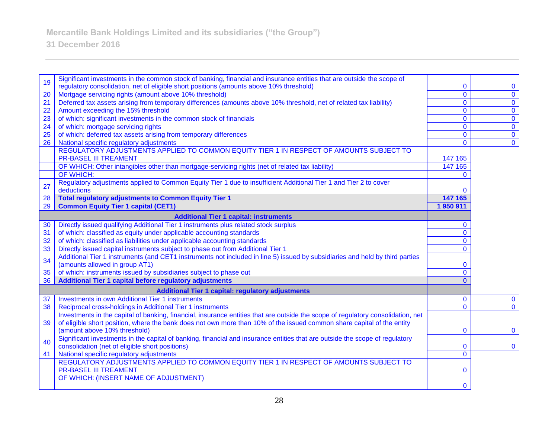**31 December 2016**

|    | Significant investments in the common stock of banking, financial and insurance entities that are outside the scope of           |                |                |
|----|----------------------------------------------------------------------------------------------------------------------------------|----------------|----------------|
| 19 | regulatory consolidation, net of eligible short positions (amounts above 10% threshold)                                          | 0              | $\mathbf 0$    |
| 20 | Mortgage servicing rights (amount above 10% threshold)                                                                           | $\overline{0}$ | $\mathbf{0}$   |
| 21 | Deferred tax assets arising from temporary differences (amounts above 10% threshold, net of related tax liability)               | $\overline{0}$ | $\overline{0}$ |
| 22 | Amount exceeding the 15% threshold                                                                                               | $\mathbf{0}$   | $\mathbf 0$    |
| 23 | of which: significant investments in the common stock of financials                                                              | $\mathbf{0}$   | $\overline{0}$ |
| 24 | of which: mortgage servicing rights                                                                                              | $\mathbf 0$    | $\mathbf{0}$   |
| 25 | of which: deferred tax assets arising from temporary differences                                                                 | $\mathbf 0$    | $\overline{0}$ |
| 26 | National specific regulatory adjustments                                                                                         | $\mathbf{0}$   | $\overline{0}$ |
|    | REGULATORY ADJUSTMENTS APPLIED TO COMMON EQUITY TIER 1 IN RESPECT OF AMOUNTS SUBJECT TO                                          |                |                |
|    | <b>PR-BASEL III TREAMENT</b>                                                                                                     | 147 165        |                |
|    | OF WHICH: Other intangibles other than mortgage-servicing rights (net of related tax liability)                                  | 147 165        |                |
|    | OF WHICH:                                                                                                                        | $\Omega$       |                |
| 27 | Regulatory adjustments applied to Common Equity Tier 1 due to insufficient Additional Tier 1 and Tier 2 to cover                 |                |                |
|    | deductions                                                                                                                       | 0              |                |
| 28 | <b>Total regulatory adjustments to Common Equity Tier 1</b>                                                                      | 147 165        |                |
| 29 | <b>Common Equity Tier 1 capital (CET1)</b>                                                                                       | 1950911        |                |
|    | <b>Additional Tier 1 capital: instruments</b>                                                                                    |                |                |
| 30 | Directly issued qualifying Additional Tier 1 instruments plus related stock surplus                                              | 0              |                |
| 31 | of which: classified as equity under applicable accounting standards                                                             | $\overline{0}$ |                |
| 32 | of which: classified as liabilities under applicable accounting standards                                                        | $\mathbf{0}$   |                |
| 33 | Directly issued capital instruments subject to phase out from Additional Tier 1                                                  | $\Omega$       |                |
|    | Additional Tier 1 instruments (and CET1 instruments not included in line 5) issued by subsidiaries and held by third parties     |                |                |
| 34 | (amounts allowed in group AT1)                                                                                                   | 0              |                |
| 35 | of which: instruments issued by subsidiaries subject to phase out                                                                | $\overline{0}$ |                |
| 36 | Additional Tier 1 capital before regulatory adjustments                                                                          | $\Omega$       |                |
|    | <b>Additional Tier 1 capital: regulatory adjustments</b>                                                                         |                |                |
| 37 | <b>Investments in own Additional Tier 1 instruments</b>                                                                          | $\mathbf{0}$   | $\mathbf{0}$   |
| 38 | Reciprocal cross-holdings in Additional Tier 1 instruments                                                                       | 0              | $\mathbf{0}$   |
|    | Investments in the capital of banking, financial, insurance entities that are outside the scope of regulatory consolidation, net |                |                |
| 39 | of eligible short position, where the bank does not own more than 10% of the issued common share capital of the entity           |                |                |
|    | (amount above 10% threshold)                                                                                                     | $\mathbf 0$    | $\mathbf{0}$   |
| 40 | Significant investments in the capital of banking, financial and insurance entities that are outside the scope of regulatory     |                |                |
|    | consolidation (net of eligible short positions)                                                                                  | 0              | $\mathbf 0$    |
| 41 | National specific regulatory adjustments                                                                                         | $\overline{0}$ |                |
|    | REGULATORY ADJUSTMENTS APPLIED TO COMMON EQUITY TIER 1 IN RESPECT OF AMOUNTS SUBJECT TO                                          |                |                |
|    | <b>PR-BASEL III TREAMENT</b>                                                                                                     | 0              |                |
|    | OF WHICH: (INSERT NAME OF ADJUSTMENT)                                                                                            |                |                |
|    |                                                                                                                                  | $\mathbf{0}$   |                |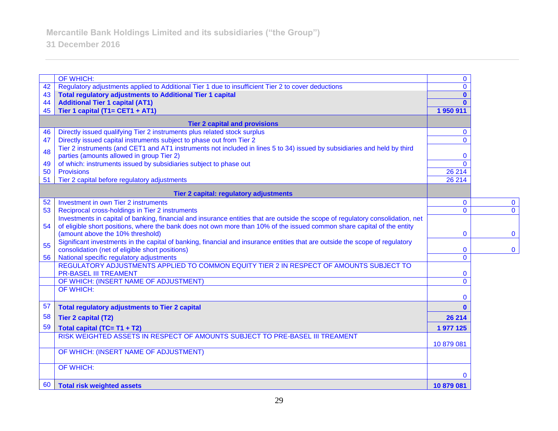**31 December 2016**

|                                      | OF WHICH:                                                                                                                                                             | $\mathbf{0}$ |                |
|--------------------------------------|-----------------------------------------------------------------------------------------------------------------------------------------------------------------------|--------------|----------------|
| 42                                   | Regulatory adjustments applied to Additional Tier 1 due to insufficient Tier 2 to cover deductions                                                                    | $\mathbf{0}$ |                |
| 43                                   | <b>Total regulatory adjustments to Additional Tier 1 capital</b>                                                                                                      | $\mathbf{0}$ |                |
| 44                                   | <b>Additional Tier 1 capital (AT1)</b>                                                                                                                                | $\mathbf{0}$ |                |
| 45                                   | Tier 1 capital (T1= CET1 + AT1)                                                                                                                                       | 1950911      |                |
| <b>Tier 2 capital and provisions</b> |                                                                                                                                                                       |              |                |
| 46                                   | Directly issued qualifying Tier 2 instruments plus related stock surplus                                                                                              | $\mathbf{0}$ |                |
| 47                                   | Directly issued capital instruments subject to phase out from Tier 2                                                                                                  | $\mathbf{0}$ |                |
| 48                                   | Tier 2 instruments (and CET1 and AT1 instruments not included in lines 5 to 34) issued by subsidiaries and held by third<br>parties (amounts allowed in group Tier 2) | $\mathbf 0$  |                |
| 49                                   | of which: instruments issued by subsidiaries subject to phase out                                                                                                     | $\Omega$     |                |
| 50                                   | <b>Provisions</b>                                                                                                                                                     | 26 214       |                |
| 51                                   | Tier 2 capital before regulatory adjustments                                                                                                                          | 26 214       |                |
|                                      | Tier 2 capital: regulatory adjustments                                                                                                                                |              |                |
| 52                                   | Investment in own Tier 2 instruments                                                                                                                                  | $\mathbf 0$  | $\mathbf 0$    |
| 53                                   | Reciprocal cross-holdings in Tier 2 instruments                                                                                                                       | $\mathbf{0}$ | $\overline{0}$ |
|                                      | Investments in capital of banking, financial and insurance entities that are outside the scope of regulatory consolidation, net                                       |              |                |
| 54                                   | of eligible short positions, where the bank does not own more than 10% of the issued common share capital of the entity                                               |              |                |
|                                      | (amount above the 10% threshold)                                                                                                                                      | $\mathbf 0$  | $\mathbf{0}$   |
|                                      | Significant investments in the capital of banking, financial and insurance entities that are outside the scope of regulatory                                          |              |                |
| 55                                   | consolidation (net of eligible short positions)                                                                                                                       | $\mathbf 0$  | $\mathbf{0}$   |
| 56                                   | National specific regulatory adjustments                                                                                                                              | $\mathbf{0}$ |                |
|                                      | REGULATORY ADJUSTMENTS APPLIED TO COMMON EQUITY TIER 2 IN RESPECT OF AMOUNTS SUBJECT TO                                                                               |              |                |
|                                      | <b>PR-BASEL III TREAMENT</b>                                                                                                                                          | $\bf{0}$     |                |
|                                      | OF WHICH: (INSERT NAME OF ADJUSTMENT)                                                                                                                                 | $\Omega$     |                |
|                                      | <b>OF WHICH:</b>                                                                                                                                                      |              |                |
|                                      |                                                                                                                                                                       | 0            |                |
| 57                                   | <b>Total regulatory adjustments to Tier 2 capital</b>                                                                                                                 | $\mathbf{0}$ |                |
| 58                                   | <b>Tier 2 capital (T2)</b>                                                                                                                                            | 26 214       |                |
| 59                                   | Total capital (TC= T1 + T2)                                                                                                                                           | 1 977 125    |                |
|                                      | RISK WEIGHTED ASSETS IN RESPECT OF AMOUNTS SUBJECT TO PRE-BASEL III TREAMENT                                                                                          |              |                |
|                                      |                                                                                                                                                                       | 10 879 081   |                |
|                                      | OF WHICH: (INSERT NAME OF ADJUSTMENT)                                                                                                                                 |              |                |
|                                      | <b>OF WHICH:</b>                                                                                                                                                      |              |                |
|                                      |                                                                                                                                                                       | 0            |                |
| 60                                   | <b>Total risk weighted assets</b>                                                                                                                                     | 10 879 081   |                |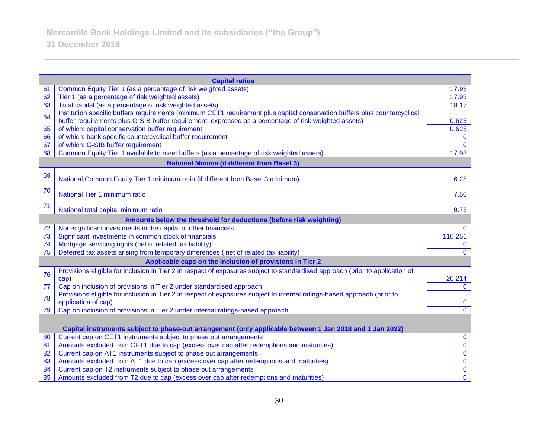| <b>Capital ratios</b>                                              |                                                                                                                               |                |
|--------------------------------------------------------------------|-------------------------------------------------------------------------------------------------------------------------------|----------------|
| 61                                                                 | Common Equity Tier 1 (as a percentage of risk weighted assets)                                                                | 17.93          |
| 62                                                                 | Tier 1 (as a percentage of risk weighted assets)                                                                              | 17.93          |
| 63                                                                 | Total capital (as a percentage of risk weighted assets)                                                                       | 18.17          |
| 64                                                                 | Institution specific buffers requirements (minimum CET1 requirement plus capital conservation buffers plus countercyclical    |                |
|                                                                    | buffer requirements plus G-SIB buffer requirement, expressed as a percentage of risk weighted assets)                         | 0.625          |
| 65                                                                 | of which: capital conservation buffer requirement                                                                             | 0.625          |
| 66                                                                 | of which: bank specific countercyclical buffer requirement                                                                    | $\mathbf{0}$   |
| 67                                                                 | of which: G-SIB buffer requirement                                                                                            | $\Omega$       |
| 68                                                                 | Common Equity Tier 1 available to meet buffers (as a percentage of risk weighted assets)                                      | 17.93          |
|                                                                    | <b>National Minima (if different from Basel 3)</b>                                                                            |                |
| 69                                                                 | National Common Equity Tier 1 minimum ratio (if different from Basel 3 minimum)                                               | 6.25           |
|                                                                    |                                                                                                                               |                |
| 70                                                                 | National Tier 1 minimum ratio                                                                                                 | 7.50           |
|                                                                    |                                                                                                                               |                |
| 71                                                                 | National total capital minimum ratio                                                                                          | 9.75           |
| Amounts below the threshold for deductions (before risk weighting) |                                                                                                                               |                |
| 72                                                                 | Non-significant investments in the capital of other financials                                                                | $\mathbf{0}$   |
| 73                                                                 | Significant investments in common stock of financials                                                                         | 116 251        |
| 74                                                                 | Mortgage servicing rights (net of related tax liability)                                                                      | $\mathbf{0}$   |
| 75                                                                 | Deferred tax assets arising from temporary differences (net of related tax liability)                                         | $\Omega$       |
| Applicable caps on the inclusion of provisions in Tier 2           |                                                                                                                               |                |
| 76                                                                 | Provisions eligible for inclusion in Tier 2 in respect of exposures subject to standardised approach (prior to application of |                |
|                                                                    | cap)                                                                                                                          | 26 214         |
| 77                                                                 | Cap on inclusion of provisions in Tier 2 under standardised approach                                                          | $\mathbf{0}$   |
| 78                                                                 | Provisions eligible for inclusion in Tier 2 in respect of exposures subject to internal ratings-based approach (prior to      |                |
|                                                                    | application of cap)                                                                                                           | $\bf{0}$       |
| 79                                                                 | Cap on inclusion of provisions in Tier 2 under internal ratings-based approach                                                | $\overline{0}$ |
|                                                                    |                                                                                                                               |                |
|                                                                    | Capital instruments subject to phase-out arrangement (only applicable between 1 Jan 2018 and 1 Jan 2022)                      |                |
| 80                                                                 | Current cap on CET1 instruments subject to phase out arrangements                                                             | $\mathbf 0$    |
| 81                                                                 | Amounts excluded from CET1 due to cap (excess over cap after redemptions and maturities)                                      | $\overline{0}$ |
| 82                                                                 | Current cap on AT1 instruments subject to phase out arrangements                                                              | $\bf{0}$       |
| 83                                                                 | Amounts excluded from AT1 due to cap (excess over cap after redemptions and maturities)                                       | $\bf{0}$       |
| 84                                                                 | Current cap on T2 instruments subject to phase out arrangements                                                               | $\pmb{0}$      |
| 85                                                                 | Amounts excluded from T2 due to cap (excess over cap after redemptions and maturities)                                        | $\overline{0}$ |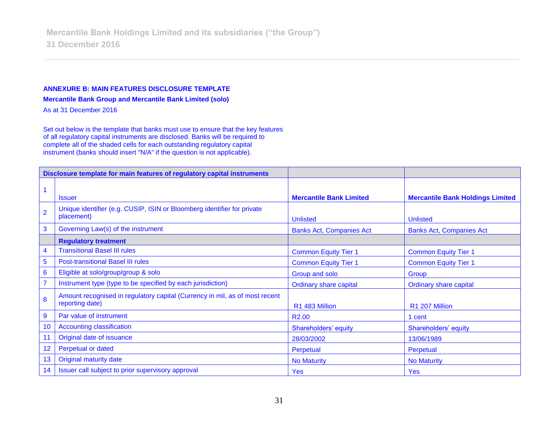#### **ANNEXURE B: MAIN FEATURES DISCLOSURE TEMPLATE**

**Mercantile Bank Group and Mercantile Bank Limited (solo)**

As at 31 December 2016

Set out below is the template that banks must use to ensure that the key features of all regulatory capital instruments are disclosed. Banks will be required to complete all of the shaded cells for each outstanding regulatory capital instrument (banks should insert "N/A" if the question is not applicable).

| Disclosure template for main features of regulatory capital instruments |                                                                                                |                                 |                                         |
|-------------------------------------------------------------------------|------------------------------------------------------------------------------------------------|---------------------------------|-----------------------------------------|
|                                                                         |                                                                                                |                                 |                                         |
|                                                                         | <b>Issuer</b>                                                                                  | <b>Mercantile Bank Limited</b>  | <b>Mercantile Bank Holdings Limited</b> |
| $\overline{2}$                                                          | Unique identifier (e.g. CUSIP, ISIN or Bloomberg identifier for private<br>placement)          | <b>Unlisted</b>                 | <b>Unlisted</b>                         |
| 3                                                                       | Governing Law(s) of the instrument                                                             | <b>Banks Act, Companies Act</b> | <b>Banks Act, Companies Act</b>         |
|                                                                         | <b>Regulatory treatment</b>                                                                    |                                 |                                         |
| $\overline{4}$                                                          | <b>Transitional Basel III rules</b>                                                            | <b>Common Equity Tier 1</b>     | <b>Common Equity Tier 1</b>             |
| $\overline{5}$                                                          | <b>Post-transitional Basel III rules</b>                                                       | <b>Common Equity Tier 1</b>     | <b>Common Equity Tier 1</b>             |
| $6\phantom{1}6$                                                         | Eligible at solo/group/group & solo                                                            | Group and solo                  | Group                                   |
| $\overline{7}$                                                          | Instrument type (type to be specified by each jurisdiction)                                    | <b>Ordinary share capital</b>   | <b>Ordinary share capital</b>           |
| 8                                                                       | Amount recognised in regulatory capital (Currency in mil, as of most recent<br>reporting date) | R1 483 Million                  | R1 207 Million                          |
| $\overline{9}$                                                          | Par value of instrument                                                                        | R <sub>2.00</sub>               | 1 cent                                  |
| 10                                                                      | <b>Accounting classification</b>                                                               | Shareholders' equity            | Shareholders' equity                    |
| 11                                                                      | Original date of issuance                                                                      | 28/03/2002                      | 13/06/1989                              |
| 12                                                                      | Perpetual or dated                                                                             | Perpetual                       | Perpetual                               |
| 13                                                                      | <b>Original maturity date</b>                                                                  | <b>No Maturity</b>              | <b>No Maturity</b>                      |
| 14                                                                      | Issuer call subject to prior supervisory approval                                              | <b>Yes</b>                      | <b>Yes</b>                              |